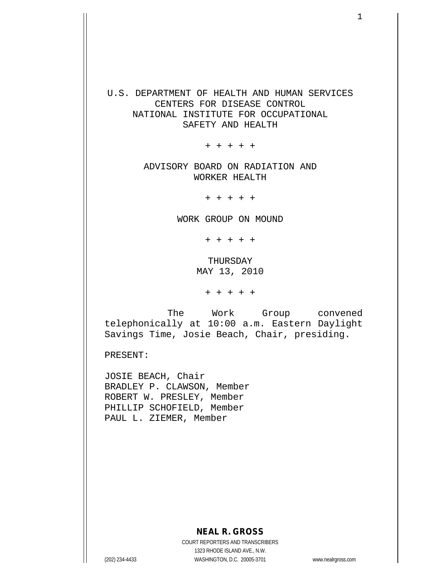## U.S. DEPARTMENT OF HEALTH AND HUMAN SERVICES CENTERS FOR DISEASE CONTROL NATIONAL INSTITUTE FOR OCCUPATIONAL SAFETY AND HEALTH

+ + + + +

ADVISORY BOARD ON RADIATION AND WORKER HEALTH

+ + + + +

WORK GROUP ON MOUND

+ + + + +

THURSDAY MAY 13, 2010

+ + + + +

 The Work Group convened telephonically at 10:00 a.m. Eastern Daylight Savings Time, Josie Beach, Chair, presiding.

PRESENT:

JOSIE BEACH, Chair BRADLEY P. CLAWSON, Member ROBERT W. PRESLEY, Member PHILLIP SCHOFIELD, Member PAUL L. ZIEMER, Member

## **NEAL R. GROSS**

COURT REPORTERS AND TRANSCRIBERS 1323 RHODE ISLAND AVE., N.W. (202) 234-4433 WASHINGTON, D.C. 20005-3701 www.nealrgross.com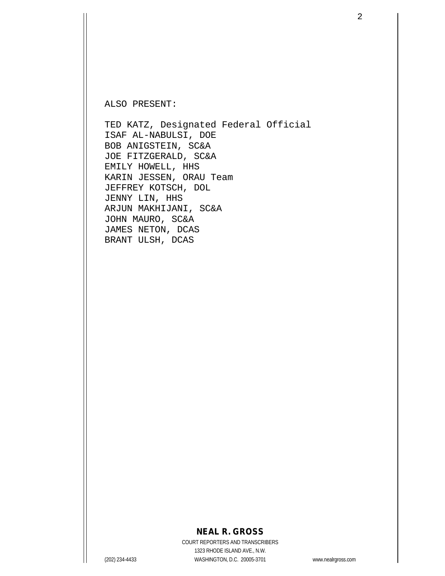ALSO PRESENT:

TED KATZ, Designated Federal Official ISAF AL-NABULSI, DOE BOB ANIGSTEIN, SC&A JOE FITZGERALD, SC&A EMILY HOWELL, HHS KARIN JESSEN, ORAU Team JEFFREY KOTSCH, DOL JENNY LIN, HHS ARJUN MAKHIJANI, SC&A JOHN MAURO, SC&A JAMES NETON, DCAS BRANT ULSH, DCAS

### **NEAL R. GROSS**

COURT REPORTERS AND TRANSCRIBERS 1323 RHODE ISLAND AVE., N.W. (202) 234-4433 WASHINGTON, D.C. 20005-3701 www.nealrgross.com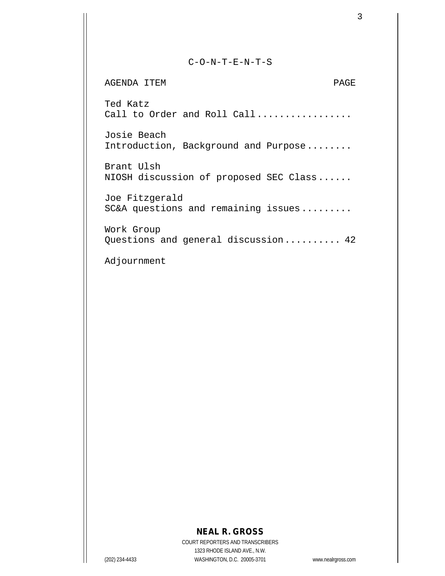#### C-O-N-T-E-N-T-S

AGENDA ITEM PAGE Ted Katz Call to Order and Roll Call................ Josie Beach Introduction, Background and Purpose........ Brant Ulsh NIOSH discussion of proposed SEC Class...... Joe Fitzgerald SC&A questions and remaining issues......... Work Group Questions and general discussion.......... 42

Adjournment

# **NEAL R. GROSS**

COURT REPORTERS AND TRANSCRIBERS 1323 RHODE ISLAND AVE., N.W. (202) 234-4433 WASHINGTON, D.C. 20005-3701 www.nealrgross.com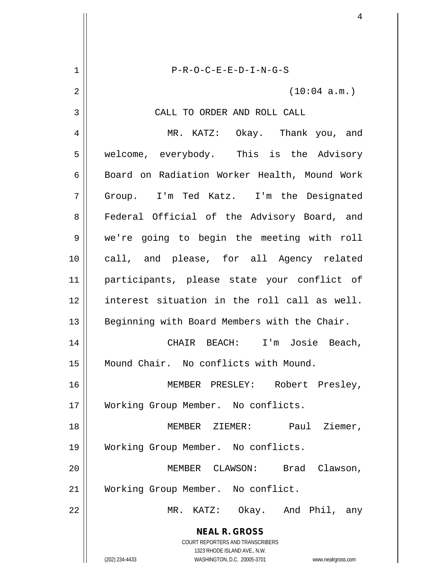**NEAL R. GROSS** COURT REPORTERS AND TRANSCRIBERS 1323 RHODE ISLAND AVE., N.W. (202) 234-4433 WASHINGTON, D.C. 20005-3701 www.nealrgross.com 1 P-R-O-C-E-E-D-I-N-G-S  $2 \parallel$  (10:04 a.m.) 3 || CALL TO ORDER AND ROLL CALL 4 MR. KATZ: Okay. Thank you, and 5 | welcome, everybody. This is the Advisory 6 | Board on Radiation Worker Health, Mound Work 7 Group. I'm Ted Katz. I'm the Designated 8 || Federal Official of the Advisory Board, and 9 we're going to begin the meeting with roll 10 call, and please, for all Agency related 11 participants, please state your conflict of 12 interest situation in the roll call as well. 13 || Beginning with Board Members with the Chair. 14 CHAIR BEACH: I'm Josie Beach, 15 Mound Chair. No conflicts with Mound. 16 MEMBER PRESLEY: Robert Presley, 17 Working Group Member. No conflicts. 18 MEMBER ZIEMER: Paul Ziemer, 19 Working Group Member. No conflicts. 20 MEMBER CLAWSON: Brad Clawson, 21 | Working Group Member. No conflict. 22 MR. KATZ: Okay. And Phil, any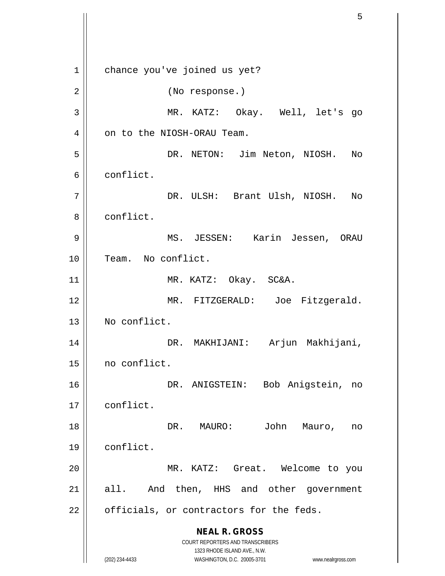**NEAL R. GROSS** COURT REPORTERS AND TRANSCRIBERS 1323 RHODE ISLAND AVE., N.W. (202) 234-4433 WASHINGTON, D.C. 20005-3701 www.nealrgross.com 1 || chance you've joined us yet? 2 || (No response.) 3 MR. KATZ: Okay. Well, let's go 4 | on to the NIOSH-ORAU Team. 5 DR. NETON: Jim Neton, NIOSH. No 6 conflict. 7 DR. ULSH: Brant Ulsh, NIOSH. No 8 | conflict. 9 MS. JESSEN: Karin Jessen, ORAU 10 || Team. No conflict. 11 || MR. KATZ: Okay. SC&A. 12 MR. FITZGERALD: Joe Fitzgerald. 13 No conflict. 14 DR. MAKHIJANI: Arjun Makhijani, 15 no conflict. 16 || DR. ANIGSTEIN: Bob Anigstein, no 17 conflict. 18 DR. MAURO: John Mauro, no 19 conflict. 20 MR. KATZ: Great. Welcome to you 21 || all. And then, HHS and other government  $22$  | officials, or contractors for the feds.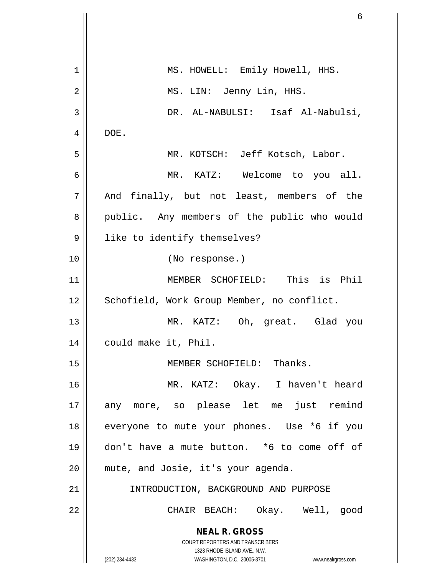|             | 6                                                                   |
|-------------|---------------------------------------------------------------------|
|             |                                                                     |
| $\mathbf 1$ | MS. HOWELL: Emily Howell, HHS.                                      |
| 2           | MS. LIN: Jenny Lin, HHS.                                            |
| 3           | DR. AL-NABULSI: Isaf Al-Nabulsi,                                    |
| 4           | DOE.                                                                |
| 5           | MR. KOTSCH: Jeff Kotsch, Labor.                                     |
| 6           | MR. KATZ: Welcome to you all.                                       |
| 7           | And finally, but not least, members of the                          |
| 8           | public. Any members of the public who would                         |
|             |                                                                     |
| 9           | like to identify themselves?                                        |
| 10          | (No response.)                                                      |
| 11          | MEMBER SCHOFIELD: This is Phil                                      |
| 12          | Schofield, Work Group Member, no conflict.                          |
| 13          | MR. KATZ: Oh, great. Glad you                                       |
| 14          | could make it, Phil.                                                |
| 15          | MEMBER SCHOFIELD: Thanks.                                           |
| 16          | MR. KATZ: Okay. I haven't heard                                     |
| 17          | any more, so please let me just remind                              |
| 18          | everyone to mute your phones. Use *6 if you                         |
| 19          | don't have a mute button. *6 to come off of                         |
| 20          | mute, and Josie, it's your agenda.                                  |
| 21          | INTRODUCTION, BACKGROUND AND PURPOSE                                |
| 22          | CHAIR BEACH: Okay. Well, good                                       |
|             | <b>NEAL R. GROSS</b>                                                |
|             | COURT REPORTERS AND TRANSCRIBERS<br>1323 RHODE ISLAND AVE., N.W.    |
|             | (202) 234-4433<br>WASHINGTON, D.C. 20005-3701<br>www.nealrgross.com |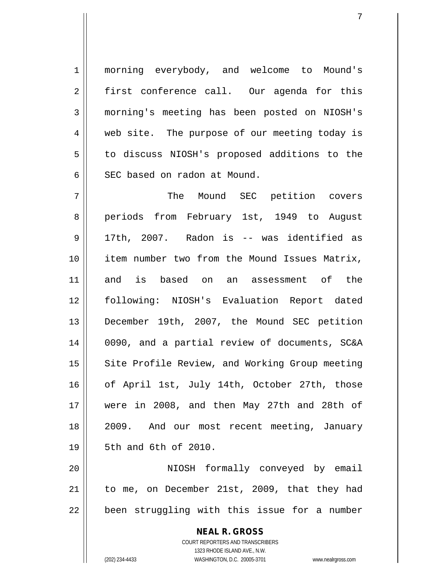1 morning everybody, and welcome to Mound's 2 || first conference call. Our agenda for this 3 morning's meeting has been posted on NIOSH's 4 web site. The purpose of our meeting today is 5 | to discuss NIOSH's proposed additions to the 6 SEC based on radon at Mound.

7 The Mound SEC petition covers 8 periods from February 1st, 1949 to August 9 17th, 2007. Radon is -- was identified as 10 item number two from the Mound Issues Matrix, 11 and is based on an assessment of the 12 following: NIOSH's Evaluation Report dated 13 December 19th, 2007, the Mound SEC petition 14 0090, and a partial review of documents, SC&A 15 || Site Profile Review, and Working Group meeting 16 || of April 1st, July 14th, October 27th, those 17 were in 2008, and then May 27th and 28th of 18 2009. And our most recent meeting, January 19 5th and 6th of 2010.

20 NIOSH formally conveyed by email 21 | to me, on December 21st, 2009, that they had  $22$  | been struggling with this issue for a number

> **NEAL R. GROSS** COURT REPORTERS AND TRANSCRIBERS 1323 RHODE ISLAND AVE., N.W. (202) 234-4433 WASHINGTON, D.C. 20005-3701 www.nealrgross.com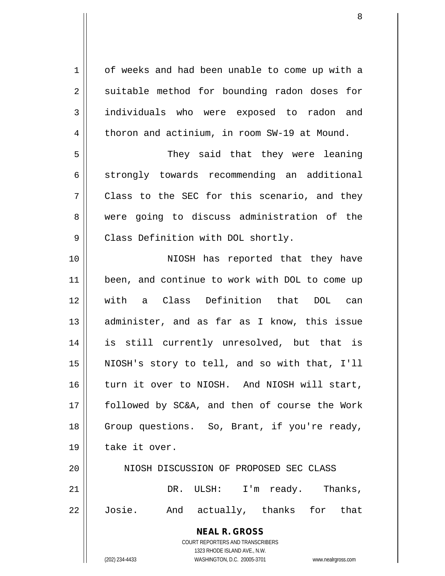**NEAL R. GROSS** COURT REPORTERS AND TRANSCRIBERS 1323 RHODE ISLAND AVE., N.W. (202) 234-4433 WASHINGTON, D.C. 20005-3701 www.nealrgross.com 1 | of weeks and had been unable to come up with a  $2 \parallel$  suitable method for bounding radon doses for 3 individuals who were exposed to radon and  $4 \parallel$  thoron and actinium, in room SW-19 at Mound. 5 They said that they were leaning  $6 \parallel$  strongly towards recommending an additional  $7 \parallel$  Class to the SEC for this scenario, and they 8 were going to discuss administration of the 9 | Class Definition with DOL shortly. 10 || NIOSH has reported that they have 11 || been, and continue to work with DOL to come up 12 with a Class Definition that DOL can 13 || administer, and as far as I know, this issue 14 is still currently unresolved, but that is 15 NIOSH's story to tell, and so with that, I'll 16 turn it over to NIOSH. And NIOSH will start, 17 followed by SC&A, and then of course the Work 18 || Group questions. So, Brant, if you're ready, 19 | take it over. 20 | NIOSH DISCUSSION OF PROPOSED SEC CLASS 21 || DR. ULSH: I'm ready. Thanks, 22 Josie. And actually, thanks for that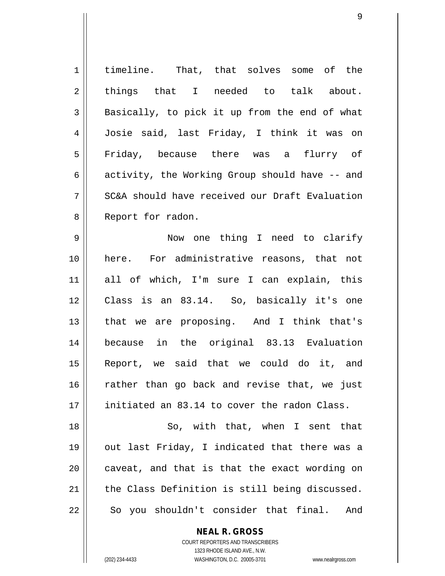1 | timeline. That, that solves some of the  $2 \parallel$  things that I needed to talk about.  $3 \parallel$  Basically, to pick it up from the end of what 4 Josie said, last Friday, I think it was on 5 Friday, because there was a flurry of 6  $\parallel$  activity, the Working Group should have  $-$  and 7 SC&A should have received our Draft Evaluation 8 || Report for radon. 9 Now one thing I need to clarify 10 || here. For administrative reasons, that not 11 all of which, I'm sure I can explain, this 12 Class is an 83.14. So, basically it's one 13 || that we are proposing. And I think that's 14 because in the original 83.13 Evaluation 15 Report, we said that we could do it, and  $16$  rather than go back and revise that, we just 17 || initiated an 83.14 to cover the radon Class. 18 || So, with that, when I sent that 19 || out last Friday, I indicated that there was a

 $21$  the Class Definition is still being discussed.

 $22 \parallel$  So you shouldn't consider that final. And

#### **NEAL R. GROSS**

 $20$  | caveat, and that is that the exact wording on

COURT REPORTERS AND TRANSCRIBERS 1323 RHODE ISLAND AVE., N.W. (202) 234-4433 WASHINGTON, D.C. 20005-3701 www.nealrgross.com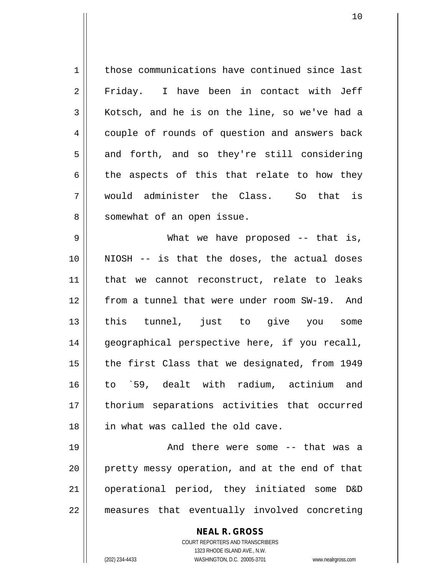1 | those communications have continued since last 2 Friday. I have been in contact with Jeff 3 Kotsch, and he is on the line, so we've had a 4 couple of rounds of question and answers back  $5 \parallel$  and forth, and so they're still considering  $6 \parallel$  the aspects of this that relate to how they 7 would administer the Class. So that is 8 || somewhat of an open issue.

9 What we have proposed -- that is, 10 NIOSH -- is that the doses, the actual doses 11 || that we cannot reconstruct, relate to leaks 12 from a tunnel that were under room SW-19. And 13 this tunnel, just to give you some 14 || geographical perspective here, if you recall,  $15$  | the first Class that we designated, from 1949 16 to `59, dealt with radium, actinium and 17 thorium separations activities that occurred 18 || in what was called the old cave.

19 And there were some -- that was a 20 || pretty messy operation, and at the end of that 21 operational period, they initiated some D&D 22 || measures that eventually involved concreting

> **NEAL R. GROSS** COURT REPORTERS AND TRANSCRIBERS 1323 RHODE ISLAND AVE., N.W. (202) 234-4433 WASHINGTON, D.C. 20005-3701 www.nealrgross.com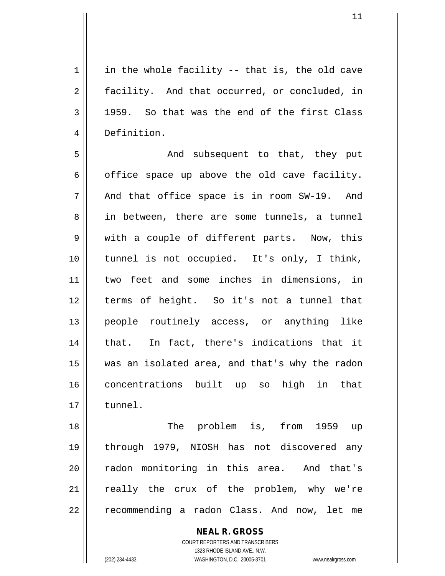$1 \parallel$  in the whole facility -- that is, the old cave 2 | facility. And that occurred, or concluded, in  $3 \parallel$  1959. So that was the end of the first Class 4 Definition.

5 And subsequent to that, they put  $6 \parallel$  office space up above the old cave facility.  $7 \parallel$  And that office space is in room SW-19. And 8 || in between, there are some tunnels, a tunnel 9 || with a couple of different parts. Now, this 10 tunnel is not occupied. It's only, I think, 11 two feet and some inches in dimensions, in 12 terms of height. So it's not a tunnel that 13 || people routinely access, or anything like 14 || that. In fact, there's indications that it 15 was an isolated area, and that's why the radon 16 concentrations built up so high in that 17 tunnel.

18 || The problem is, from 1959 up 19 through 1979, NIOSH has not discovered any 20 || radon monitoring in this area. And that's 21 || really the crux of the problem, why we're 22 || recommending a radon Class. And now, let me

> **NEAL R. GROSS** COURT REPORTERS AND TRANSCRIBERS 1323 RHODE ISLAND AVE., N.W. (202) 234-4433 WASHINGTON, D.C. 20005-3701 www.nealrgross.com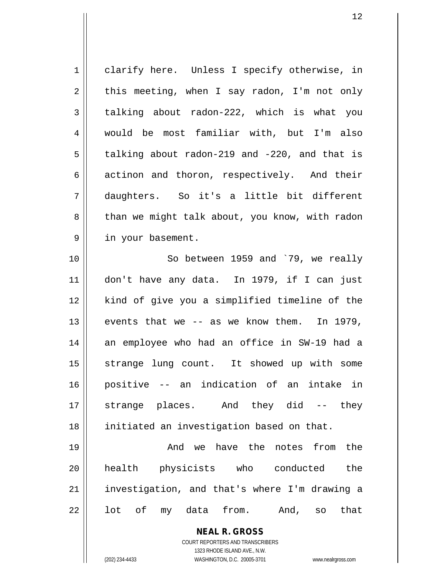1 || clarify here. Unless I specify otherwise, in  $2 \parallel$  this meeting, when I say radon, I'm not only  $3 \parallel$  talking about radon-222, which is what you 4 would be most familiar with, but I'm also  $5 \parallel$  talking about radon-219 and -220, and that is  $6 \parallel$  actinon and thoron, respectively. And their 7 daughters. So it's a little bit different 8 | than we might talk about, you know, with radon 9 | in your basement. 10 || So between 1959 and `79, we really

11 don't have any data. In 1979, if I can just 12 kind of give you a simplified timeline of the  $13$  events that we  $-$  as we know them. In 1979, 14 an employee who had an office in SW-19 had a 15 || strange lung count. It showed up with some 16 positive -- an indication of an intake in 17 strange places. And they did -- they 18 || initiated an investigation based on that.

19 And we have the notes from the 20 health physicists who conducted the 21 | investigation, and that's where I'm drawing a  $22 \parallel$  lot of my data from. And, so that

> **NEAL R. GROSS** COURT REPORTERS AND TRANSCRIBERS

1323 RHODE ISLAND AVE., N.W. (202) 234-4433 WASHINGTON, D.C. 20005-3701 www.nealrgross.com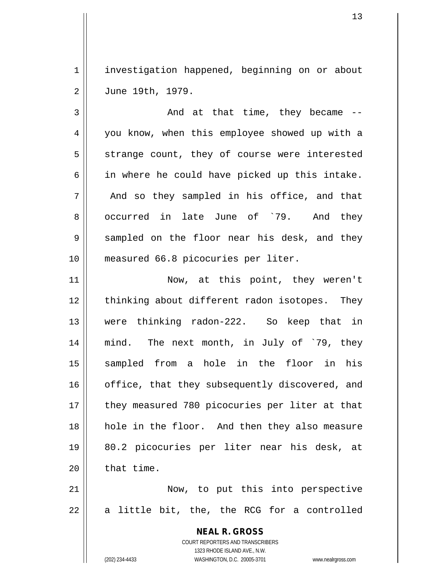1 | investigation happened, beginning on or about 2 June 19th, 1979.

 $3 \parallel$  and at that time, they became  $-$ 4 || you know, when this employee showed up with a  $5 \parallel$  strange count, they of course were interested  $6 \parallel$  in where he could have picked up this intake.  $7 \parallel$  And so they sampled in his office, and that 8 occurred in late June of `79. And they  $9 \parallel$  sampled on the floor near his desk, and they 10 || measured 66.8 picocuries per liter.

11 || Now, at this point, they weren't 12 || thinking about different radon isotopes. They 13 were thinking radon-222. So keep that in 14 mind. The next month, in July of `79, they 15 sampled from a hole in the floor in his 16 || office, that they subsequently discovered, and 17 || they measured 780 picocuries per liter at that 18 || hole in the floor. And then they also measure 19 80.2 picocuries per liter near his desk, at  $20$  | that time.

21 Now, to put this into perspective  $22 \parallel$  a little bit, the, the RCG for a controlled

> **NEAL R. GROSS** COURT REPORTERS AND TRANSCRIBERS 1323 RHODE ISLAND AVE., N.W. (202) 234-4433 WASHINGTON, D.C. 20005-3701 www.nealrgross.com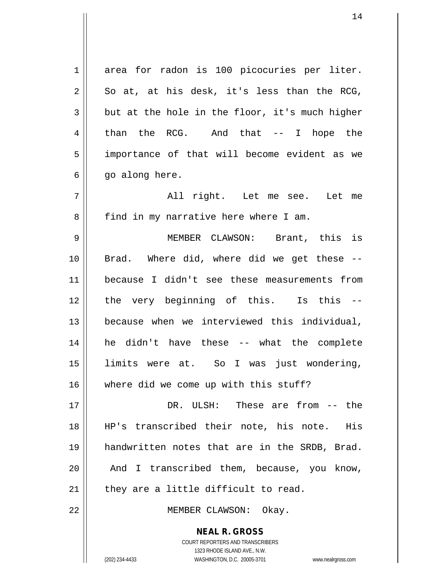**NEAL R. GROSS** COURT REPORTERS AND TRANSCRIBERS 1323 RHODE ISLAND AVE., N.W. 1 area for radon is 100 picocuries per liter.  $2 \parallel$  So at, at his desk, it's less than the RCG,  $3 \parallel$  but at the hole in the floor, it's much higher  $4 \parallel$  than the RCG. And that -- I hope the 5 || importance of that will become evident as we  $6 \parallel$  go along here. 7 All right. Let me see. Let me 8 | find in my narrative here where I am. 9 MEMBER CLAWSON: Brant, this is 10 || Brad. Where did, where did we get these --11 because I didn't see these measurements from 12 the very beginning of this. Is this --13 because when we interviewed this individual, 14 he didn't have these -- what the complete 15 limits were at. So I was just wondering, 16 where did we come up with this stuff? 17 DR. ULSH: These are from -- the 18 HP's transcribed their note, his note. His 19 handwritten notes that are in the SRDB, Brad.  $20$  | And I transcribed them, because, you know,  $21$  | they are a little difficult to read. 22 || MEMBER CLAWSON: Okay.

(202) 234-4433 WASHINGTON, D.C. 20005-3701 www.nealrgross.com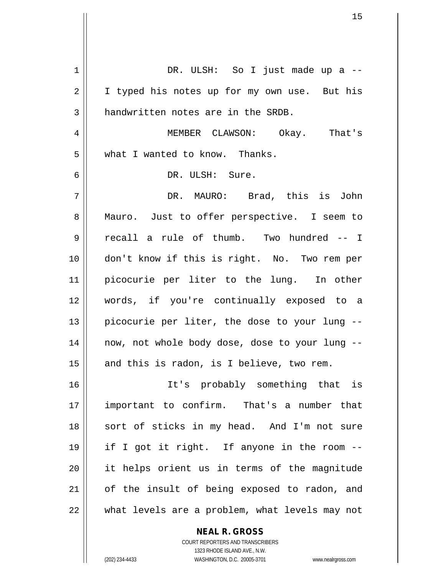| 1  | DR. ULSH: So I just made up a --               |
|----|------------------------------------------------|
| 2  | I typed his notes up for my own use. But his   |
| 3  | handwritten notes are in the SRDB.             |
| 4  | MEMBER CLAWSON: Okay. That's                   |
| 5  | what I wanted to know. Thanks.                 |
| 6  | DR. ULSH: Sure.                                |
| 7  | DR. MAURO: Brad, this is John                  |
| 8  | Mauro. Just to offer perspective. I seem to    |
| 9  | recall a rule of thumb. Two hundred -- I       |
| 10 | don't know if this is right. No. Two rem per   |
| 11 | picocurie per liter to the lung. In other      |
| 12 | words, if you're continually exposed to a      |
| 13 | picocurie per liter, the dose to your lung --  |
| 14 | now, not whole body dose, dose to your lung -- |
| 15 | and this is radon, is I believe, two rem.      |
| 16 | It's probably something that is                |
| 17 | important to confirm. That's a number that     |
| 18 | sort of sticks in my head. And I'm not sure    |
| 19 | if I got it right. If anyone in the room --    |
| 20 | it helps orient us in terms of the magnitude   |
| 21 | of the insult of being exposed to radon, and   |
| 22 | what levels are a problem, what levels may not |

**NEAL R. GROSS** COURT REPORTERS AND TRANSCRIBERS

1323 RHODE ISLAND AVE., N.W.

(202) 234-4433 WASHINGTON, D.C. 20005-3701 www.nealrgross.com

 $\mathbf{I}$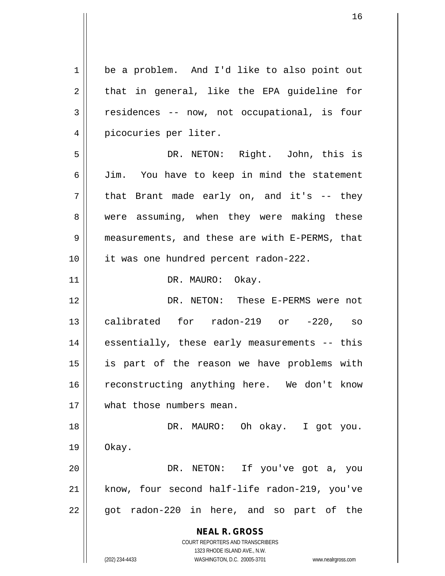**NEAL R. GROSS** COURT REPORTERS AND TRANSCRIBERS 1323 RHODE ISLAND AVE., N.W. (202) 234-4433 WASHINGTON, D.C. 20005-3701 www.nealrgross.com 1 | be a problem. And I'd like to also point out  $2 \parallel$  that in general, like the EPA guideline for 3 residences -- now, not occupational, is four 4 || picocuries per liter. 5 DR. NETON: Right. John, this is 6 Jim. You have to keep in mind the statement  $7 \parallel$  that Brant made early on, and it's -- they 8 were assuming, when they were making these 9 || measurements, and these are with E-PERMS, that 10 it was one hundred percent radon-222. 11 || DR. MAURO: Okay. 12 DR. NETON: These E-PERMS were not 13 calibrated for radon-219 or -220, so  $14$  || essentially, these early measurements -- this 15 is part of the reason we have problems with 16 reconstructing anything here. We don't know 17 what those numbers mean. 18 DR. MAURO: Oh okay. I got you. 19 Okay. 20 DR. NETON: If you've got a, you 21 || know, four second half-life radon-219, you've  $22 \parallel$  got radon-220 in here, and so part of the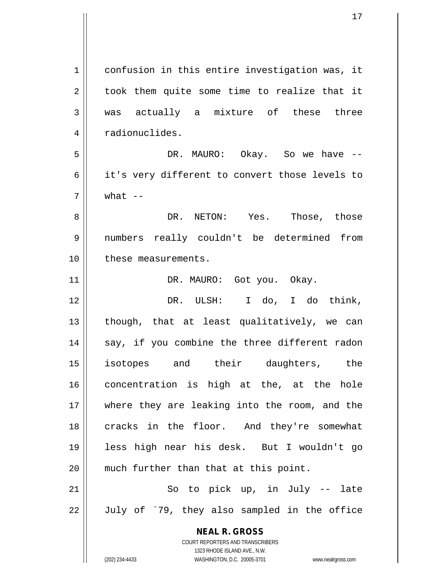**NEAL R. GROSS** COURT REPORTERS AND TRANSCRIBERS 1323 RHODE ISLAND AVE., N.W. 1 | confusion in this entire investigation was, it  $2 \parallel$  took them quite some time to realize that it 3 was actually a mixture of these three 4 | radionuclides. 5 DR. MAURO: Okay. So we have -- 6 || it's very different to convert those levels to  $7 \parallel$  what  $-$ 8 DR. NETON: Yes. Those, those 9 numbers really couldn't be determined from 10 || these measurements. 11 || DR. MAURO: Got you. Okay. 12 DR. ULSH: I do, I do think,  $13$  || though, that at least qualitatively, we can  $14$  || say, if you combine the three different radon 15 isotopes and their daughters, the 16 concentration is high at the, at the hole 17 where they are leaking into the room, and the 18 || cracks in the floor. And they're somewhat 19 less high near his desk. But I wouldn't go 20 || much further than that at this point.  $21$   $\parallel$  So to pick up, in July -- late  $22 \parallel$  July of `79, they also sampled in the office

(202) 234-4433 WASHINGTON, D.C. 20005-3701 www.nealrgross.com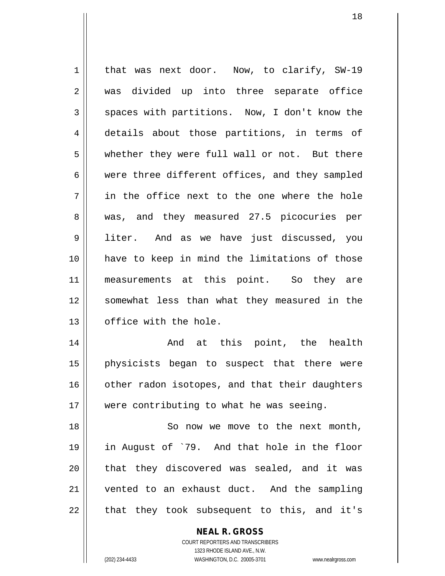1 || that was next door. Now, to clarify, SW-19 2 || was divided up into three separate office  $3 \parallel$  spaces with partitions. Now, I don't know the 4 details about those partitions, in terms of 5 whether they were full wall or not. But there 6 were three different offices, and they sampled  $7 \parallel$  in the office next to the one where the hole 8 || was, and they measured 27.5 picocuries per 9 liter. And as we have just discussed, you 10 have to keep in mind the limitations of those 11 || measurements at this point. So they are 12 || somewhat less than what they measured in the 13 | office with the hole. 14 And at this point, the health 15 physicists began to suspect that there were 16 | other radon isotopes, and that their daughters

18 || So now we move to the next month, 19 in August of `79. And that hole in the floor 20 || that they discovered was sealed, and it was 21 vented to an exhaust duct. And the sampling  $22$  || that they took subsequent to this, and it's

17 || were contributing to what he was seeing.

**NEAL R. GROSS** COURT REPORTERS AND TRANSCRIBERS 1323 RHODE ISLAND AVE., N.W.

(202) 234-4433 WASHINGTON, D.C. 20005-3701 www.nealrgross.com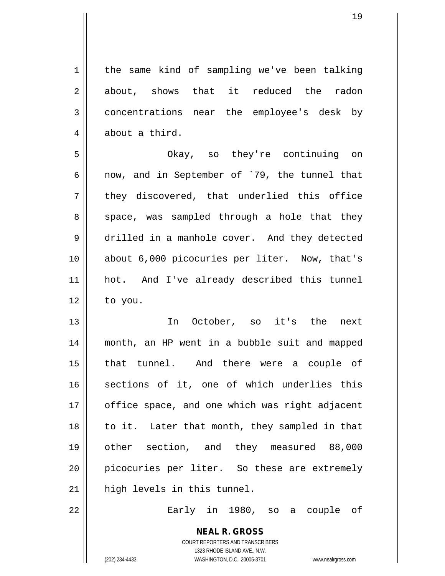1 | the same kind of sampling we've been talking 2 about, shows that it reduced the radon 3 concentrations near the employee's desk by 4 | about a third. 5 Okay, so they're continuing on 6  $\parallel$  now, and in September of `79, the tunnel that  $7 \parallel$  they discovered, that underlied this office  $8 \parallel$  space, was sampled through a hole that they 9 drilled in a manhole cover. And they detected 10 about 6,000 picocuries per liter. Now, that's 11 hot. And I've already described this tunnel  $12 \parallel$  to you. 13 In October, so it's the next 14 month, an HP went in a bubble suit and mapped 15 that tunnel. And there were a couple of 16 || sections of it, one of which underlies this 17 || office space, and one which was right adjacent  $18$  || to it. Later that month, they sampled in that 19 other section, and they measured 88,000 20 || picocuries per liter. So these are extremely  $21$  | high levels in this tunnel. 22 Early in 1980, so a couple of

> COURT REPORTERS AND TRANSCRIBERS 1323 RHODE ISLAND AVE., N.W. (202) 234-4433 WASHINGTON, D.C. 20005-3701 www.nealrgross.com

**NEAL R. GROSS**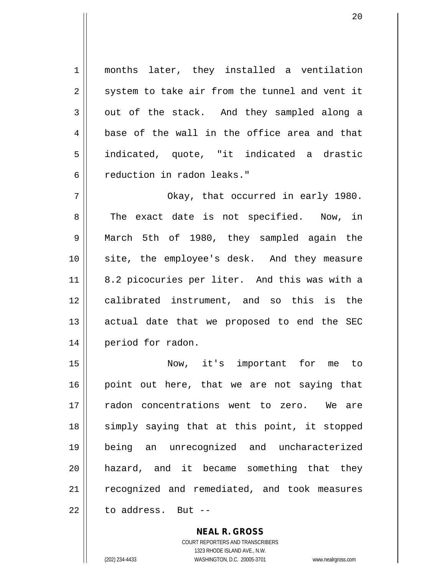1 || months later, they installed a ventilation  $2 \parallel$  system to take air from the tunnel and vent it  $3 \parallel$  out of the stack. And they sampled along a  $4 \parallel$  base of the wall in the office area and that 5 indicated, quote, "it indicated a drastic 6 || reduction in radon leaks."

7 Okay, that occurred in early 1980. 8 || The exact date is not specified. Now, in 9 March 5th of 1980, they sampled again the 10 site, the employee's desk. And they measure 11 || 8.2 picocuries per liter. And this was with a 12 calibrated instrument, and so this is the 13 || actual date that we proposed to end the SEC 14 | period for radon.

15 Now, it's important for me to  $16$  point out here, that we are not saying that 17 radon concentrations went to zero. We are 18 || simply saying that at this point, it stopped 19 being an unrecognized and uncharacterized 20 hazard, and it became something that they 21 || recognized and remediated, and took measures  $22$   $\parallel$  to address. But --

> **NEAL R. GROSS** COURT REPORTERS AND TRANSCRIBERS 1323 RHODE ISLAND AVE., N.W. (202) 234-4433 WASHINGTON, D.C. 20005-3701 www.nealrgross.com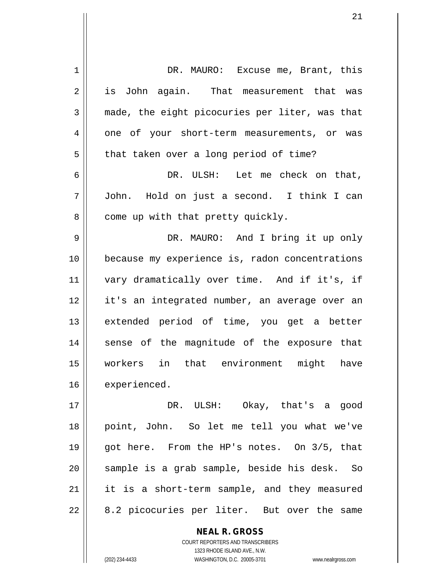| 1  | DR. MAURO: Excuse me, Brant, this                        |
|----|----------------------------------------------------------|
| 2  | is John again. That measurement that was                 |
| 3  | made, the eight picocuries per liter, was that           |
| 4  | one of your short-term measurements, or was              |
| 5  | that taken over a long period of time?                   |
| 6  | DR. ULSH: Let me check on that,                          |
| 7  | John. Hold on just a second. I think I can               |
| 8  | come up with that pretty quickly.                        |
| 9  | DR. MAURO: And I bring it up only                        |
| 10 | because my experience is, radon concentrations           |
| 11 | vary dramatically over time. And if it's, if             |
| 12 | it's an integrated number, an average over an            |
| 13 | extended period of time, you get a better                |
| 14 | sense of the magnitude of the exposure that              |
| 15 | workers in that environment might have                   |
| 16 | experienced.                                             |
| 17 | DR. ULSH: Okay, that's a good                            |
| 18 | point, John. So let me tell you what we've               |
|    |                                                          |
| 19 | got here. From the HP's notes. On 3/5, that              |
| 20 | sample is a grab sample, beside his desk. So             |
| 21 | it is a short-term sample, and they measured             |
| 22 | 8.2 picocuries per liter. But over the same              |
|    | <b>NEAL R. GROSS</b><br>COURT REPORTERS AND TRANSCRIBERS |

1323 RHODE ISLAND AVE., N.W.

 $\begin{array}{c} \hline \end{array}$ 

(202) 234-4433 WASHINGTON, D.C. 20005-3701 www.nealrgross.com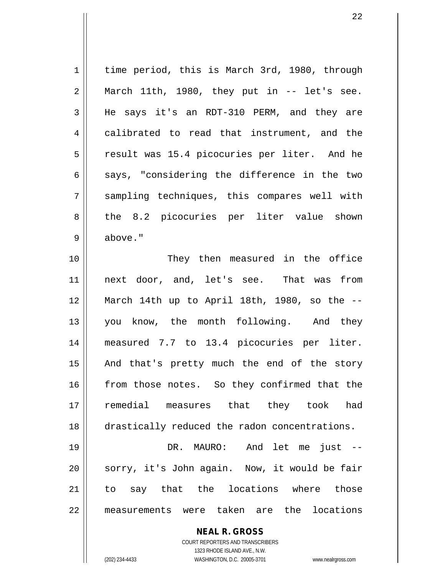**NEAL R. GROSS** 1 | time period, this is March 3rd, 1980, through  $2 \parallel$  March 11th, 1980, they put in -- let's see. 3 He says it's an RDT-310 PERM, and they are 4 calibrated to read that instrument, and the 5 || result was 15.4 picocuries per liter. And he  $6 \parallel$  says, "considering the difference in the two 7 sampling techniques, this compares well with 8 || the 8.2 picocuries per liter value shown 9 above." 10 || They then measured in the office 11 next door, and, let's see. That was from 12 March 14th up to April 18th, 1980, so the -- 13 || you know, the month following. And they 14 measured 7.7 to 13.4 picocuries per liter. 15 || And that's pretty much the end of the story 16 from those notes. So they confirmed that the 17 remedial measures that they took had 18 | drastically reduced the radon concentrations. 19 DR. MAURO: And let me just --  $20$  || sorry, it's John again. Now, it would be fair 21 to say that the locations where those 22 measurements were taken are the locations

> COURT REPORTERS AND TRANSCRIBERS 1323 RHODE ISLAND AVE., N.W.

(202) 234-4433 WASHINGTON, D.C. 20005-3701 www.nealrgross.com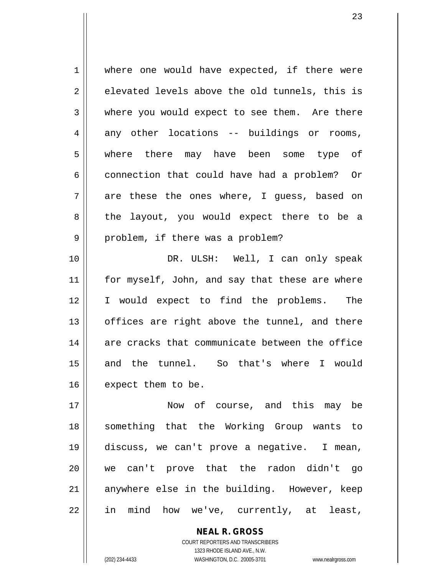1 where one would have expected, if there were  $2 \parallel$  elevated levels above the old tunnels, this is 3 where you would expect to see them. Are there  $4 \parallel$  any other locations -- buildings or rooms, 5 where there may have been some type of  $6 \parallel$  connection that could have had a problem? Or  $7 \parallel$  are these the ones where, I quess, based on 8 the layout, you would expect there to be a  $9 \parallel$  problem, if there was a problem?

10 DR. ULSH: Well, I can only speak 11 || for myself, John, and say that these are where 12 I would expect to find the problems. The  $13$  || offices are right above the tunnel, and there 14 are cracks that communicate between the office 15 and the tunnel. So that's where I would  $16$  | expect them to be.

17 Now of course, and this may be 18 something that the Working Group wants to 19 discuss, we can't prove a negative. I mean, 20 we can't prove that the radon didn't go 21 anywhere else in the building. However, keep 22 || in mind how we've, currently, at least,

> COURT REPORTERS AND TRANSCRIBERS 1323 RHODE ISLAND AVE., N.W. (202) 234-4433 WASHINGTON, D.C. 20005-3701 www.nealrgross.com

**NEAL R. GROSS**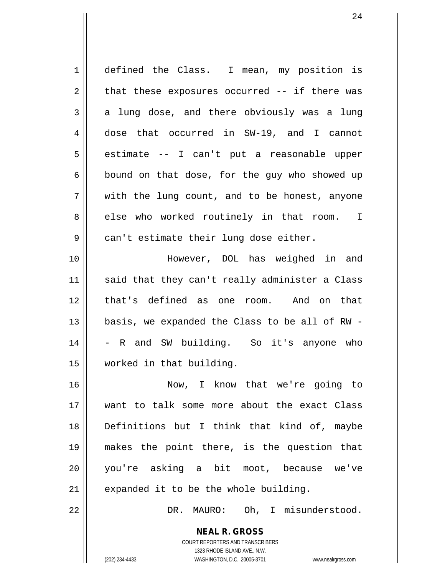1 defined the Class. I mean, my position is  $2 \parallel$  that these exposures occurred -- if there was  $3 \parallel$  a lung dose, and there obviously was a lung 4 dose that occurred in SW-19, and I cannot  $5 \parallel$  estimate -- I can't put a reasonable upper  $6 \parallel$  bound on that dose, for the guy who showed up  $7 \parallel$  with the lung count, and to be honest, anyone 8 || else who worked routinely in that room. I  $9 \parallel$  can't estimate their lung dose either. 10 However, DOL has weighed in and 11 || said that they can't really administer a Class 12 that's defined as one room. And on that 13  $\parallel$  basis, we expanded the Class to be all of RW -14 || - R and SW building. So it's anyone who 15 worked in that building. 16 Now, I know that we're going to 17 want to talk some more about the exact Class 18 Definitions but I think that kind of, maybe 19 makes the point there, is the question that 20 you're asking a bit moot, because we've  $21$  | expanded it to be the whole building. 22 | R. MAURO: Oh, I misunderstood.

> **NEAL R. GROSS** COURT REPORTERS AND TRANSCRIBERS 1323 RHODE ISLAND AVE., N.W. (202) 234-4433 WASHINGTON, D.C. 20005-3701 www.nealrgross.com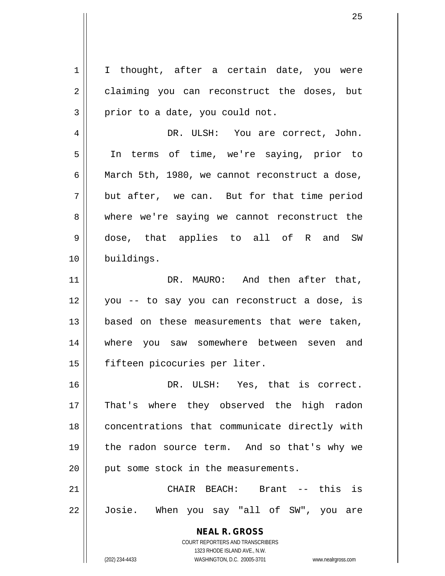1 | I thought, after a certain date, you were 2 claiming you can reconstruct the doses, but  $3 \parallel$  prior to a date, you could not.

4 DR. ULSH: You are correct, John. 5 In terms of time, we're saying, prior to 6 March 5th, 1980, we cannot reconstruct a dose,  $7 \parallel$  but after, we can. But for that time period 8 where we're saying we cannot reconstruct the 9 dose, that applies to all of R and SW 10 || buildings.

11 || DR. MAURO: And then after that, 12 you -- to say you can reconstruct a dose, is 13 || based on these measurements that were taken, 14 where you saw somewhere between seven and 15 fifteen picocuries per liter.

16 DR. ULSH: Yes, that is correct. 17 || That's where they observed the high radon 18 || concentrations that communicate directly with 19 || the radon source term. And so that's why we 20 || put some stock in the measurements.

21 CHAIR BEACH: Brant -- this is 22 || Josie. When you say "all of SW", you are

> **NEAL R. GROSS** COURT REPORTERS AND TRANSCRIBERS 1323 RHODE ISLAND AVE., N.W. (202) 234-4433 WASHINGTON, D.C. 20005-3701 www.nealrgross.com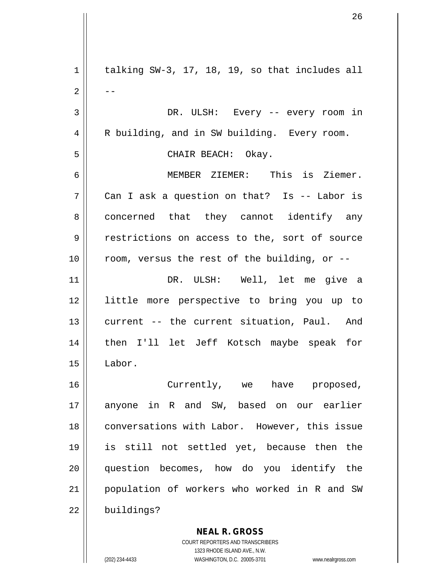**NEAL R. GROSS**  $1 \parallel$  talking SW-3, 17, 18, 19, so that includes all  $2 \parallel - -$ 3 DR. ULSH: Every -- every room in 4 | R building, and in SW building. Every room. 5 CHAIR BEACH: Okay. 6 MEMBER ZIEMER: This is Ziemer.  $7 \parallel$  Can I ask a question on that? Is -- Labor is 8 concerned that they cannot identify any 9 || restrictions on access to the, sort of source  $10$  || room, versus the rest of the building, or --11 DR. ULSH: Well, let me give a 12 little more perspective to bring you up to 13 current -- the current situation, Paul. And 14 then I'll let Jeff Kotsch maybe speak for 15 Labor. 16 || Currently, we have proposed, 17 anyone in R and SW, based on our earlier 18 || conversations with Labor. However, this issue 19 is still not settled yet, because then the 20 question becomes, how do you identify the 21 population of workers who worked in R and SW  $22$  | buildings?

> COURT REPORTERS AND TRANSCRIBERS 1323 RHODE ISLAND AVE., N.W.

(202) 234-4433 WASHINGTON, D.C. 20005-3701 www.nealrgross.com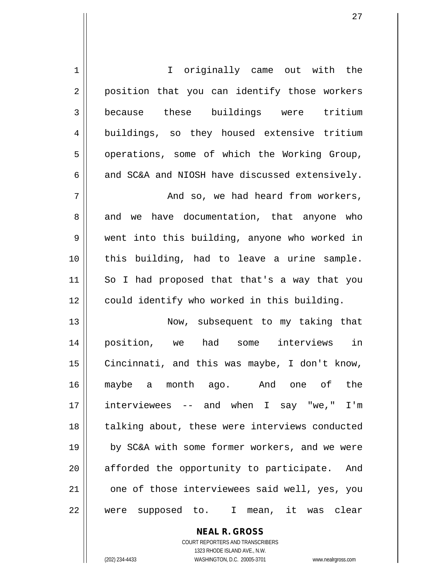| $\mathbf 1$ | I originally came out with the                  |
|-------------|-------------------------------------------------|
| 2           | position that you can identify those workers    |
| 3           | because these buildings were tritium            |
| 4           | buildings, so they housed extensive tritium     |
| 5           | operations, some of which the Working Group,    |
| 6           | and SC&A and NIOSH have discussed extensively.  |
| 7           | And so, we had heard from workers,              |
| 8           | we have documentation, that anyone who<br>and   |
| 9           | went into this building, anyone who worked in   |
| 10          | this building, had to leave a urine sample.     |
| 11          | So I had proposed that that's a way that you    |
| 12          | could identify who worked in this building.     |
| 13          | Now, subsequent to my taking that               |
| 14          | in<br>position, we had some interviews          |
| 15          | Cincinnati, and this was maybe, I don't know,   |
| 16          | maybe a month ago. And one of the               |
| 17          | interviewees -- and when I say "we," I'm        |
| 18          | talking about, these were interviews conducted  |
| 19          | by SC&A with some former workers, and we were   |
| 20          | afforded the opportunity to participate.<br>And |
| 21          | one of those interviewees said well, yes, you   |
| 22          | were supposed to. I mean, it<br>was clear       |

**NEAL R. GROSS** COURT REPORTERS AND TRANSCRIBERS 1323 RHODE ISLAND AVE., N.W.

 $\mathbf{I}$ 

(202) 234-4433 WASHINGTON, D.C. 20005-3701 www.nealrgross.com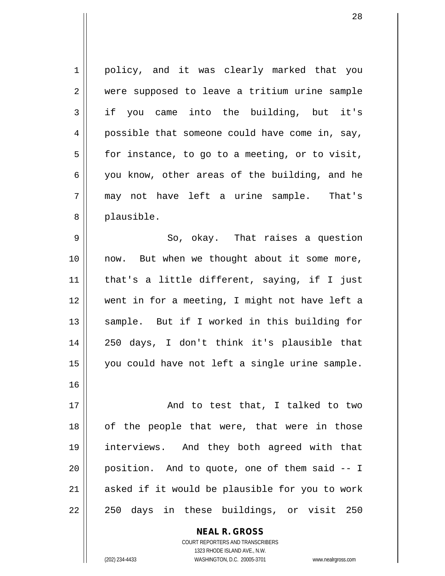1 || policy, and it was clearly marked that you 2 | were supposed to leave a tritium urine sample 3 if you came into the building, but it's 4 possible that someone could have come in, say,  $5 \parallel$  for instance, to go to a meeting, or to visit, 6 | you know, other areas of the building, and he 7 may not have left a urine sample. That's 8 || plausible.  $9 \parallel$  So, okay. That raises a question 10 now. But when we thought about it some more, 11 that's a little different, saying, if I just 12 went in for a meeting, I might not have left a 13 || sample. But if I worked in this building for 14 250 days, I don't think it's plausible that 15 || you could have not left a single urine sample. 16 17 || And to test that, I talked to two  $18$  || of the people that were, that were in those 19 interviews. And they both agreed with that  $20$  || position. And to quote, one of them said  $-1$ 21 || asked if it would be plausible for you to work 22 || 250 days in these buildings, or visit 250

> **NEAL R. GROSS** COURT REPORTERS AND TRANSCRIBERS 1323 RHODE ISLAND AVE., N.W.

(202) 234-4433 WASHINGTON, D.C. 20005-3701 www.nealrgross.com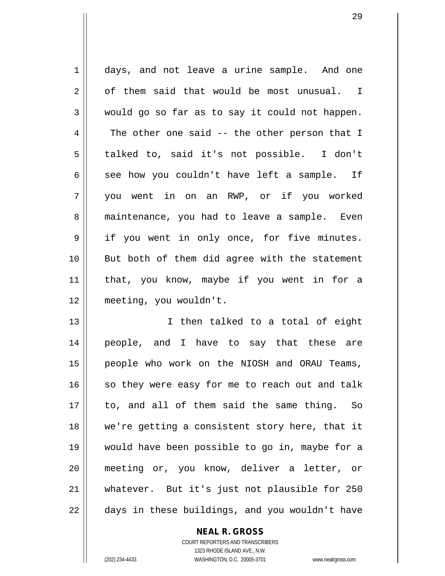1 days, and not leave a urine sample. And one  $2 \parallel$  of them said that would be most unusual. I  $3 \parallel$  would go so far as to say it could not happen.  $4 \parallel$  The other one said -- the other person that I 5 || talked to, said it's not possible. I don't 6 see how you couldn't have left a sample. If 7 you went in on an RWP, or if you worked 8 || maintenance, you had to leave a sample. Even 9 || if you went in only once, for five minutes. 10 But both of them did agree with the statement 11 that, you know, maybe if you went in for a 12 meeting, you wouldn't.

13 I then talked to a total of eight 14 people, and I have to say that these are 15 people who work on the NIOSH and ORAU Teams,  $16$  so they were easy for me to reach out and talk 17 || to, and all of them said the same thing. So 18 we're getting a consistent story here, that it 19 would have been possible to go in, maybe for a 20 meeting or, you know, deliver a letter, or 21 whatever. But it's just not plausible for 250  $22$   $\parallel$  days in these buildings, and you wouldn't have

> **NEAL R. GROSS** COURT REPORTERS AND TRANSCRIBERS

> > 1323 RHODE ISLAND AVE., N.W.

(202) 234-4433 WASHINGTON, D.C. 20005-3701 www.nealrgross.com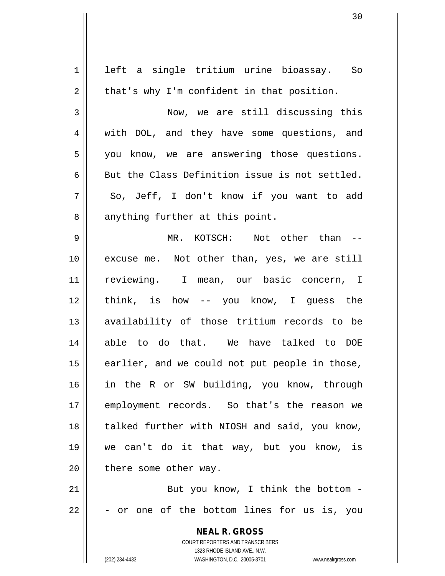| $\mathbf 1$    | left a single tritium urine bioassay. So                                                            |
|----------------|-----------------------------------------------------------------------------------------------------|
| $\overline{2}$ | that's why I'm confident in that position.                                                          |
| 3              | Now, we are still discussing this                                                                   |
| 4              | with DOL, and they have some questions, and                                                         |
| 5              | you know, we are answering those questions.                                                         |
| 6              | But the Class Definition issue is not settled.                                                      |
| 7              | So, Jeff, I don't know if you want to add                                                           |
| 8              | anything further at this point.                                                                     |
| 9              | MR. KOTSCH: Not other than --                                                                       |
| 10             | excuse me. Not other than, yes, we are still                                                        |
| 11             | reviewing. I mean, our basic concern, I                                                             |
| 12             | think, is how -- you know, I guess the                                                              |
| 13             | availability of those tritium records to be                                                         |
| 14             | able to do that. We have talked to DOE                                                              |
| 15             | earlier, and we could not put people in those,                                                      |
| 16             | in the R or SW building, you know, through                                                          |
| 17             | employment records. So that's the reason we                                                         |
| 18             | talked further with NIOSH and said, you know,                                                       |
| 19             | we can't do it that way, but you know, is                                                           |
| 20             | there some other way.                                                                               |
| 21             | But you know, I think the bottom -                                                                  |
| 22             | - or one of the bottom lines for us is, you                                                         |
|                | <b>NEAL R. GROSS</b>                                                                                |
|                | <b>COURT REPORTERS AND TRANSCRIBERS</b>                                                             |
|                | 1323 RHODE ISLAND AVE., N.W.<br>(202) 234-4433<br>WASHINGTON, D.C. 20005-3701<br>www.nealrgross.com |
|                |                                                                                                     |

 $\mathsf{I}$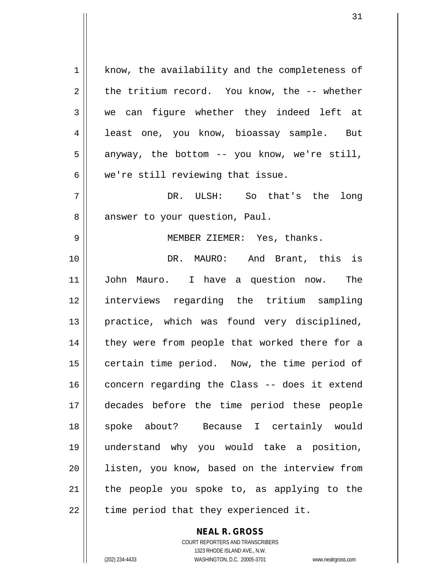1 | know, the availability and the completeness of  $2 \parallel$  the tritium record. You know, the -- whether 3 we can figure whether they indeed left at 4 || least one, you know, bioassay sample. But  $5 \parallel$  anyway, the bottom -- you know, we're still, 6 we're still reviewing that issue. 7 DR. ULSH: So that's the long 8 | answer to your question, Paul. 9 MEMBER ZIEMER: Yes, thanks. 10 || DR. MAURO: And Brant, this is 11 John Mauro. I have a question now. The 12 interviews regarding the tritium sampling 13 practice, which was found very disciplined, 14 || they were from people that worked there for a 15 | certain time period. Now, the time period of 16 concern regarding the Class -- does it extend 17 decades before the time period these people 18 spoke about? Because I certainly would 19 understand why you would take a position, 20 || listen, you know, based on the interview from  $21$  the people you spoke to, as applying to the  $22$  || time period that they experienced it.

> **NEAL R. GROSS** COURT REPORTERS AND TRANSCRIBERS 1323 RHODE ISLAND AVE., N.W.

(202) 234-4433 WASHINGTON, D.C. 20005-3701 www.nealrgross.com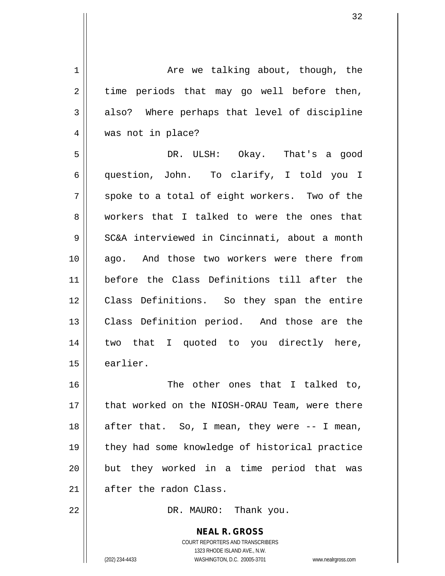| $1\,$          | Are we talking about, though, the                        |
|----------------|----------------------------------------------------------|
| $\overline{2}$ | time periods that may go well before then,               |
| 3              | also? Where perhaps that level of discipline             |
| 4              | was not in place?                                        |
| 5              | DR. ULSH: Okay. That's a good                            |
| 6              | question, John. To clarify, I told you I                 |
| 7              | spoke to a total of eight workers. Two of the            |
| 8              | workers that I talked to were the ones that              |
| 9              | SC&A interviewed in Cincinnati, about a month            |
| 10             | ago. And those two workers were there from               |
| 11             | before the Class Definitions till after the              |
| 12             | Class Definitions. So they span the entire               |
| 13             | Class Definition period. And those are the               |
| 14             | two that I quoted to you directly here,                  |
| 15             | earlier.                                                 |
| 16             | The other ones that I talked to,                         |
| 17             | that worked on the NIOSH-ORAU Team, were there           |
| 18             | after that. So, I mean, they were -- I mean,             |
| 19             | they had some knowledge of historical practice           |
| 20             | but they worked in a time period that<br>was             |
| 21             | after the radon Class.                                   |
| 22             | DR. MAURO: Thank you.                                    |
|                | <b>NEAL R. GROSS</b><br>COURT REPORTERS AND TRANSCRIBERS |

1323 RHODE ISLAND AVE., N.W.

 $\prod$ 

(202) 234-4433 WASHINGTON, D.C. 20005-3701 www.nealrgross.com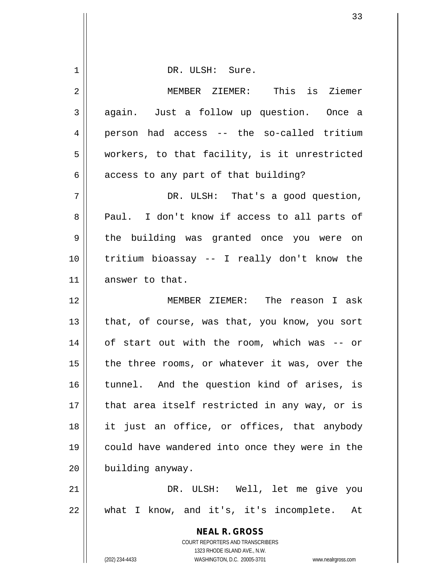| DR. ULSH: Sure.                                                                                     |
|-----------------------------------------------------------------------------------------------------|
| MEMBER ZIEMER: This is Ziemer                                                                       |
| again. Just a follow up question. Once a                                                            |
| person had access -- the so-called tritium                                                          |
| workers, to that facility, is it unrestricted                                                       |
| access to any part of that building?                                                                |
| DR. ULSH: That's a good question,                                                                   |
| Paul. I don't know if access to all parts of                                                        |
| the building was granted once you were on                                                           |
| tritium bioassay -- I really don't know the                                                         |
| answer to that.                                                                                     |
| MEMBER ZIEMER: The reason I ask                                                                     |
| that, of course, was that, you know, you sort                                                       |
| of start out with the room, which was -- or                                                         |
| the three rooms, or whatever it was, over the                                                       |
| tunnel. And the question kind of arises, is                                                         |
| that area itself restricted in any way, or is                                                       |
| it just an office, or offices, that anybody                                                         |
| could have wandered into once they were in the                                                      |
| building anyway.                                                                                    |
| DR. ULSH: Well, let me give you                                                                     |
| what I know, and it's, it's incomplete. At                                                          |
| <b>NEAL R. GROSS</b>                                                                                |
| COURT REPORTERS AND TRANSCRIBERS                                                                    |
| 1323 RHODE ISLAND AVE., N.W.<br>(202) 234-4433<br>WASHINGTON, D.C. 20005-3701<br>www.nealrgross.com |
|                                                                                                     |

 $\mathsf{I}$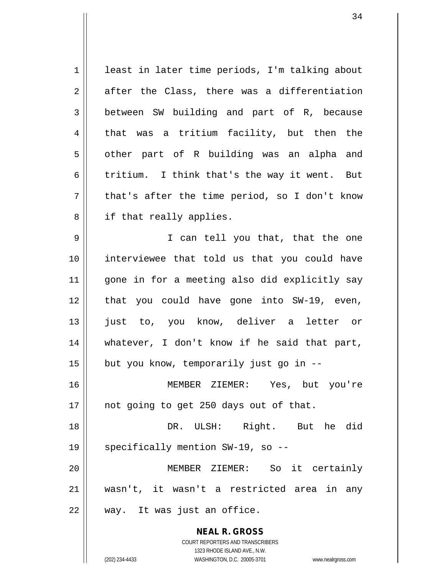**NEAL R. GROSS** COURT REPORTERS AND TRANSCRIBERS 1 | least in later time periods, I'm talking about  $2 \parallel$  after the Class, there was a differentiation 3 between SW building and part of R, because 4 that was a tritium facility, but then the  $5 \parallel$  other part of R building was an alpha and 6 || tritium. I think that's the way it went. But  $7 \parallel$  that's after the time period, so I don't know 8 || if that really applies. 9 || I can tell you that, that the one 10 interviewee that told us that you could have 11 gone in for a meeting also did explicitly say 12 || that you could have gone into SW-19, even, 13 just to, you know, deliver a letter or 14 whatever, I don't know if he said that part,  $15$  | but you know, temporarily just go in  $-$ 16 MEMBER ZIEMER: Yes, but you're 17 || not going to get 250 days out of that. 18 DR. ULSH: Right. But he did 19 || specifically mention SW-19, so --20 MEMBER ZIEMER: So it certainly 21 wasn't, it wasn't a restricted area in any 22 || way. It was just an office.

1323 RHODE ISLAND AVE., N.W.

(202) 234-4433 WASHINGTON, D.C. 20005-3701 www.nealrgross.com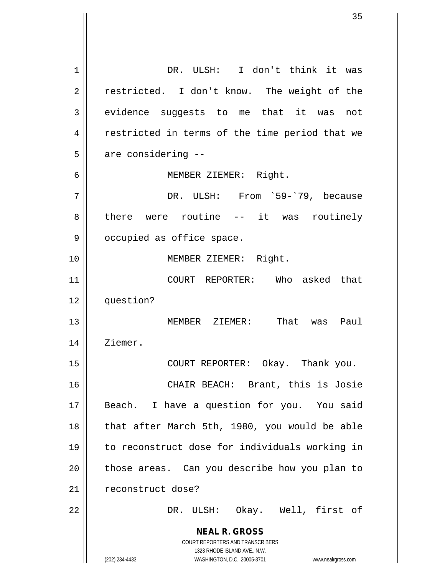**NEAL R. GROSS** COURT REPORTERS AND TRANSCRIBERS 1323 RHODE ISLAND AVE., N.W. (202) 234-4433 WASHINGTON, D.C. 20005-3701 www.nealrgross.com 1 || DR. ULSH: I don't think it was 2 || restricted. I don't know. The weight of the 3 evidence suggests to me that it was not 4 || restricted in terms of the time period that we  $5 \parallel$  are considering --6 || MEMBER ZIEMER: Right. 7 DR. ULSH: From `59-`79, because 8 there were routine -- it was routinely 9 | occupied as office space. 10 MEMBER ZIEMER: Right. 11 COURT REPORTER: Who asked that 12 question? 13 MEMBER ZIEMER: That was Paul 14 | Ziemer. 15 COURT REPORTER: Okay. Thank you. 16 CHAIR BEACH: Brant, this is Josie 17 || Beach. I have a question for you. You said 18 || that after March 5th, 1980, you would be able 19 to reconstruct dose for individuals working in  $20$  || those areas. Can you describe how you plan to 21 || reconstruct dose? 22 || DR. ULSH: Okay. Well, first of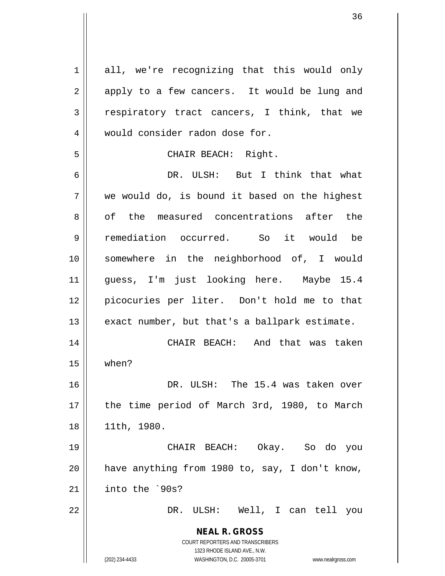**NEAL R. GROSS** COURT REPORTERS AND TRANSCRIBERS 1323 RHODE ISLAND AVE., N.W. 1 all, we're recognizing that this would only 2 || apply to a few cancers. It would be lung and  $3 \parallel$  respiratory tract cancers, I think, that we 4 would consider radon dose for. 5 || CHAIR BEACH: Right. 6 DR. ULSH: But I think that what  $7 \parallel$  we would do, is bound it based on the highest 8 of the measured concentrations after the 9 remediation occurred. So it would be 10 somewhere in the neighborhood of, I would 11 guess, I'm just looking here. Maybe 15.4 12 picocuries per liter. Don't hold me to that  $13$  || exact number, but that's a ballpark estimate. 14 CHAIR BEACH: And that was taken 15 when? 16 DR. ULSH: The 15.4 was taken over 17 || the time period of March 3rd, 1980, to March 18 11th, 1980. 19 CHAIR BEACH: Okay. So do you 20  $\parallel$  have anything from 1980 to, say, I don't know, 21  $\parallel$  into the `90s? 22 DR. ULSH: Well, I can tell you

(202) 234-4433 WASHINGTON, D.C. 20005-3701 www.nealrgross.com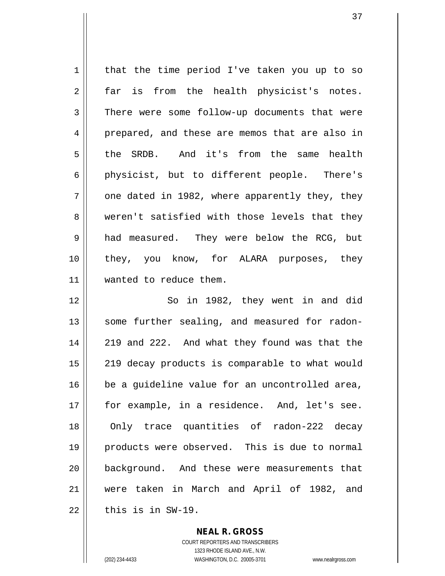$1 \parallel$  that the time period I've taken you up to so 2 far is from the health physicist's notes. 3 There were some follow-up documents that were 4 prepared, and these are memos that are also in 5 the SRDB. And it's from the same health 6 || physicist, but to different people. There's  $7 \parallel$  one dated in 1982, where apparently they, they 8 weren't satisfied with those levels that they 9 and measured. They were below the RCG, but 10 they, you know, for ALARA purposes, they 11 wanted to reduce them. 12 So in 1982, they went in and did 13 || some further sealing, and measured for radon-14 || 219 and 222. And what they found was that the 15 || 219 decay products is comparable to what would  $16$  be a guideline value for an uncontrolled area, 17 for example, in a residence. And, let's see. 18 || Only trace quantities of radon-222 decay 19 || products were observed. This is due to normal 20 background. And these were measurements that 21 were taken in March and April of 1982, and  $22$   $\parallel$  this is in SW-19.

> **NEAL R. GROSS** COURT REPORTERS AND TRANSCRIBERS

1323 RHODE ISLAND AVE., N.W. (202) 234-4433 WASHINGTON, D.C. 20005-3701 www.nealrgross.com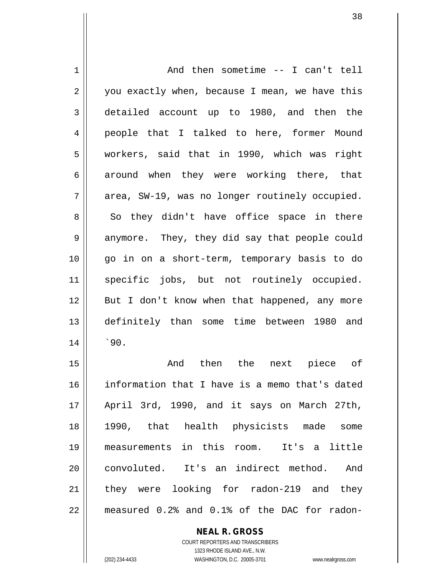1 | And then sometime -- I can't tell  $2 \parallel$  you exactly when, because I mean, we have this 3 || detailed account up to 1980, and then the 4 people that I talked to here, former Mound 5 workers, said that in 1990, which was right 6 around when they were working there, that  $7 \parallel$  area, SW-19, was no longer routinely occupied.  $8 \parallel$  So they didn't have office space in there 9 || anymore. They, they did say that people could 10 go in on a short-term, temporary basis to do 11 specific jobs, but not routinely occupied. 12 || But I don't know when that happened, any more 13 definitely than some time between 1980 and  $14$  |  $30$ . 15 And then the next piece of

16 information that I have is a memo that's dated 17 April 3rd, 1990, and it says on March 27th, 18 1990, that health physicists made some 19 measurements in this room. It's a little 20 || convoluted. It's an indirect method. And 21 they were looking for radon-219 and they 22 measured 0.2% and 0.1% of the DAC for radon-

**NEAL R. GROSS**

COURT REPORTERS AND TRANSCRIBERS 1323 RHODE ISLAND AVE., N.W. (202) 234-4433 WASHINGTON, D.C. 20005-3701 www.nealrgross.com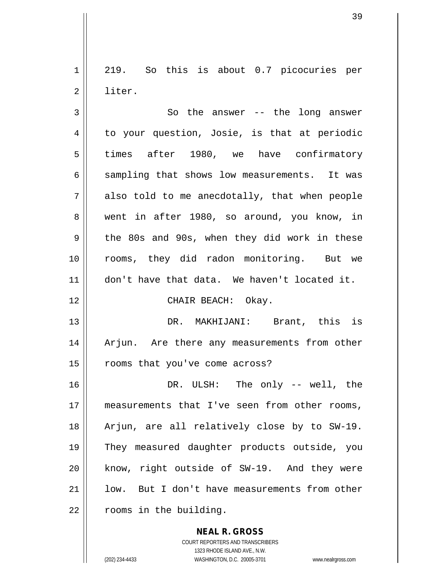1 219. So this is about 0.7 picocuries per 2 l liter.

 $3 \parallel$  So the answer -- the long answer  $4 \parallel$  to your question, Josie, is that at periodic 5 times after 1980, we have confirmatory  $6 \parallel$  sampling that shows low measurements. It was  $7 \parallel$  also told to me anecdotally, that when people 8 went in after 1980, so around, you know, in  $9 \parallel$  the 80s and 90s, when they did work in these 10 || rooms, they did radon monitoring. But we 11 || don't have that data. We haven't located it. 12 || CHAIR BEACH: Okay. 13 DR. MAKHIJANI: Brant, this is 14 || Arjun. Are there any measurements from other 15 || rooms that you've come across? 16 DR. ULSH: The only -- well, the 17 measurements that I've seen from other rooms, 18 || Arjun, are all relatively close by to SW-19. 19 They measured daughter products outside, you 20 || know, right outside of SW-19. And they were  $21$  |  $\phantom{1}$  low. But I don't have measurements from other  $22$  |  $\sqrt{2}$  rooms in the building.

> **NEAL R. GROSS** COURT REPORTERS AND TRANSCRIBERS

> > 1323 RHODE ISLAND AVE., N.W.

(202) 234-4433 WASHINGTON, D.C. 20005-3701 www.nealrgross.com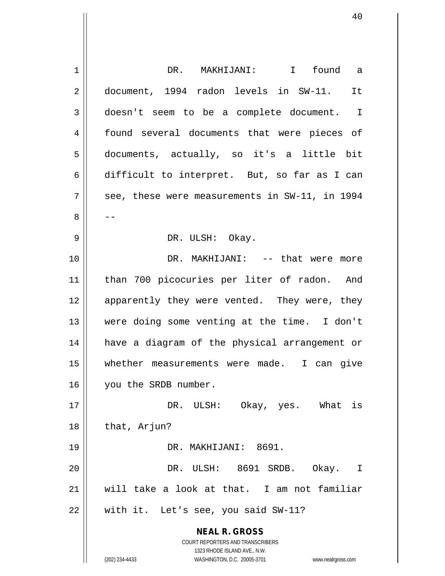| 1  | DR. MAKHIJANI: I found a                                                                            |
|----|-----------------------------------------------------------------------------------------------------|
| 2  | document, 1994 radon levels in SW-11. It                                                            |
| 3  | doesn't seem to be a complete document. I                                                           |
| 4  | found several documents that were pieces of                                                         |
| 5  | documents, actually, so it's a little bit                                                           |
| 6  | difficult to interpret. But, so far as I can                                                        |
| 7  | see, these were measurements in SW-11, in 1994                                                      |
| 8  | --                                                                                                  |
| 9  | DR. ULSH: Okay.                                                                                     |
| 10 | DR. MAKHIJANI: -- that were more                                                                    |
| 11 | than 700 picocuries per liter of radon. And                                                         |
| 12 | apparently they were vented. They were, they                                                        |
| 13 | were doing some venting at the time. I don't                                                        |
| 14 | have a diagram of the physical arrangement or                                                       |
| 15 | whether measurements were made. I can give                                                          |
| 16 | you the SRDB number.                                                                                |
| 17 | DR. ULSH: Okay, yes. What is                                                                        |
| 18 | that, Arjun?                                                                                        |
| 19 | DR. MAKHIJANI: 8691.                                                                                |
| 20 | DR. ULSH: 8691 SRDB. Okay. I                                                                        |
| 21 | will take a look at that. I am not familiar                                                         |
| 22 | with it. Let's see, you said SW-11?                                                                 |
|    | <b>NEAL R. GROSS</b>                                                                                |
|    | COURT REPORTERS AND TRANSCRIBERS                                                                    |
|    | 1323 RHODE ISLAND AVE., N.W.<br>(202) 234-4433<br>WASHINGTON, D.C. 20005-3701<br>www.nealrgross.com |
|    |                                                                                                     |

 $\mathsf{I}$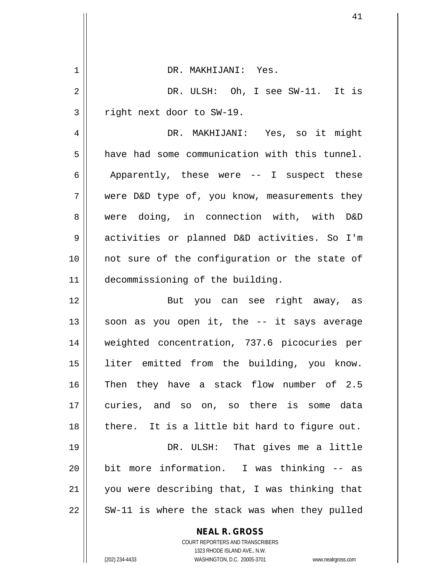| $\mathbf 1$ | DR. MAKHIJANI: Yes.                                      |
|-------------|----------------------------------------------------------|
| 2           | DR. ULSH: Oh, I see SW-11. It is                         |
| 3           | right next door to SW-19.                                |
| 4           | DR. MAKHIJANI: Yes, so it might                          |
| 5           | have had some communication with this tunnel.            |
| 6           | Apparently, these were -- I suspect these                |
| 7           | were D&D type of, you know, measurements they            |
| 8           | were doing, in connection with, with D&D                 |
| 9           | activities or planned D&D activities. So I'm             |
| 10          | not sure of the configuration or the state of            |
| 11          | decommissioning of the building.                         |
| 12          | But you can see right away, as                           |
| 13          | soon as you open it, the -- it says average              |
| 14          | weighted concentration, 737.6 picocuries per             |
| 15          | liter emitted from the building, you know.               |
| 16          | Then they have a stack flow number of 2.5                |
| 17          | curies, and so on, so there is some data                 |
| 18          | there. It is a little bit hard to figure out.            |
| 19          | DR. ULSH: That gives me a little                         |
| 20          | bit more information. I was thinking -- as               |
| 21          | you were describing that, I was thinking that            |
| 22          | SW-11 is where the stack was when they pulled            |
|             | <b>NEAL R. GROSS</b><br>COURT REPORTERS AND TRANSCRIBERS |

1323 RHODE ISLAND AVE., N.W.

 $\prod$ 

 $\mathsf{I}$ 

(202) 234-4433 WASHINGTON, D.C. 20005-3701 www.nealrgross.com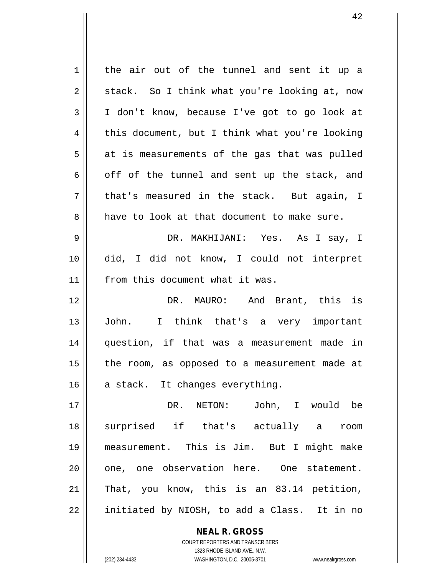| 1  | the air out of the tunnel and sent it up a     |
|----|------------------------------------------------|
| 2  | stack. So I think what you're looking at, now  |
| 3  | I don't know, because I've got to go look at   |
| 4  | this document, but I think what you're looking |
| 5  | at is measurements of the gas that was pulled  |
| 6  | off of the tunnel and sent up the stack, and   |
| 7  | that's measured in the stack. But again, I     |
| 8  | have to look at that document to make sure.    |
| 9  | DR. MAKHIJANI: Yes. As I say, I                |
| 10 | did, I did not know, I could not interpret     |
| 11 | from this document what it was.                |
| 12 | DR. MAURO: And Brant, this is                  |
| 13 | John. I think that's a very important          |
| 14 | question, if that was a measurement made in    |
| 15 | the room, as opposed to a measurement made at  |
| 16 | a stack. It changes everything.                |
| 17 | John, I would be<br>DR. NETON:                 |
| 18 | surprised if that's actually a room            |
| 19 | measurement. This is Jim. But I might make     |
| 20 | one, one observation here. One statement.      |
| 21 | That, you know, this is an 83.14 petition,     |
| 22 | initiated by NIOSH, to add a Class. It in no   |
|    | <b>NEAL R. GROSS</b>                           |

 $\mathsf{II}$ 

1323 RHODE ISLAND AVE., N.W. (202) 234-4433 WASHINGTON, D.C. 20005-3701 www.nealrgross.com

COURT REPORTERS AND TRANSCRIBERS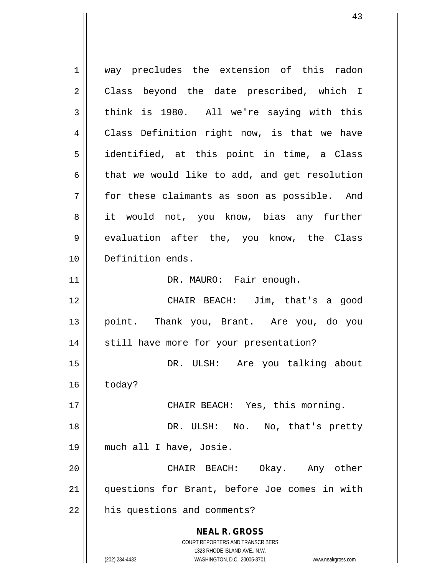**NEAL R. GROSS** COURT REPORTERS AND TRANSCRIBERS 1323 RHODE ISLAND AVE., N.W. (202) 234-4433 WASHINGTON, D.C. 20005-3701 www.nealrgross.com 1 way precludes the extension of this radon 2 || Class beyond the date prescribed, which I  $3 \parallel$  think is 1980. All we're saying with this 4 | Class Definition right now, is that we have 5 || identified, at this point in time, a Class  $6 \parallel$  that we would like to add, and get resolution 7 for these claimants as soon as possible. And 8 it would not, you know, bias any further 9 | evaluation after the, you know, the Class 10 Definition ends. 11 || DR. MAURO: Fair enough. 12 CHAIR BEACH: Jim, that's a good 13 point. Thank you, Brant. Are you, do you 14 || still have more for your presentation? 15 DR. ULSH: Are you talking about  $16$  today? 17 CHAIR BEACH: Yes, this morning. 18 || DR. ULSH: No. No, that's pretty 19 much all I have, Josie. 20 CHAIR BEACH: Okay. Any other 21 questions for Brant, before Joe comes in with  $22$  | his questions and comments?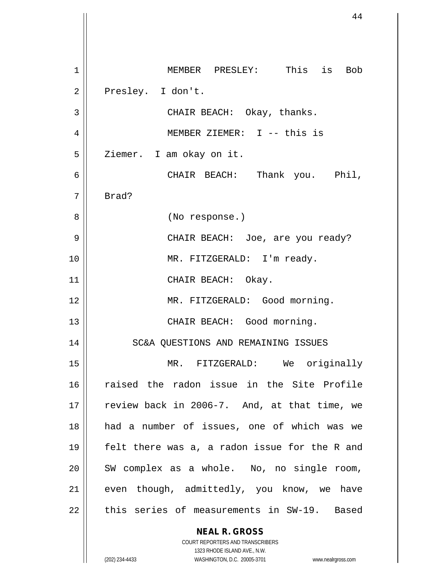**NEAL R. GROSS** COURT REPORTERS AND TRANSCRIBERS 1 || MEMBER PRESLEY: This is Bob 2 | Presley. I don't. 3 || CHAIR BEACH: Okay, thanks. 4 MEMBER ZIEMER: I -- this is 5 | Ziemer. I am okay on it. 6 CHAIR BEACH: Thank you. Phil, 7 Brad? 8 || (No response.) 9 CHAIR BEACH: Joe, are you ready? 10 || MR. FITZGERALD: I'm ready. 11 || CHAIR BEACH: Okay. 12 || MR. FITZGERALD: Good morning. 13 || CHAIR BEACH: Good morning. 14 || SC&A QUESTIONS AND REMAINING ISSUES 15 MR. FITZGERALD: We originally 16 raised the radon issue in the Site Profile 17  $\vert$  review back in 2006-7. And, at that time, we 18 had a number of issues, one of which was we 19 || felt there was a, a radon issue for the R and  $20$  || SW complex as a whole. No, no single room,  $21$  even though, admittedly, you know, we have 22 || this series of measurements in SW-19. Based

1323 RHODE ISLAND AVE., N.W.

(202) 234-4433 WASHINGTON, D.C. 20005-3701 www.nealrgross.com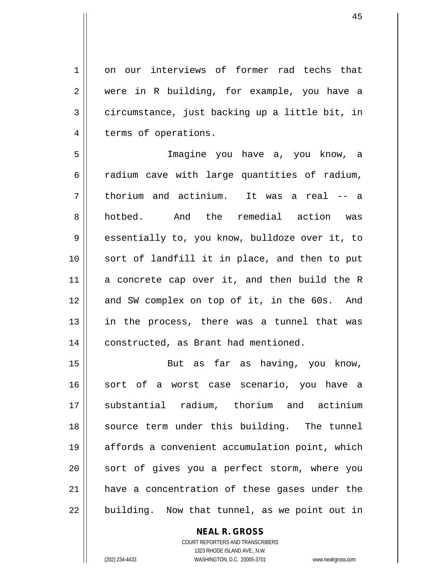1 on our interviews of former rad techs that 2 were in R building, for example, you have a  $3 \parallel$  circumstance, just backing up a little bit, in 4 | terms of operations.

5 Imagine you have a, you know, a  $6 \parallel$  radium cave with large quantities of radium, 7 thorium and actinium. It was a real -- a 8 hotbed. And the remedial action was 9 essentially to, you know, bulldoze over it, to 10 sort of landfill it in place, and then to put  $11$  a concrete cap over it, and then build the R 12 and SW complex on top of it, in the 60s. And  $13$  in the process, there was a tunnel that was 14 | constructed, as Brant had mentioned.

15 || But as far as having, you know, 16 || sort of a worst case scenario, you have a 17 substantial radium, thorium and actinium 18 || source term under this building. The tunnel 19 affords a convenient accumulation point, which 20 || sort of gives you a perfect storm, where you 21 have a concentration of these gases under the  $22$  | building. Now that tunnel, as we point out in

## **NEAL R. GROSS**

COURT REPORTERS AND TRANSCRIBERS 1323 RHODE ISLAND AVE., N.W. (202) 234-4433 WASHINGTON, D.C. 20005-3701 www.nealrgross.com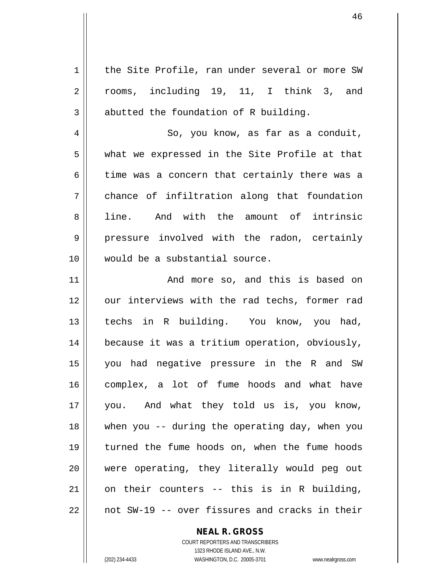1 | the Site Profile, ran under several or more SW 2 || rooms, including 19, 11, I think 3, and  $3 \parallel$  abutted the foundation of R building. 4 | So, you know, as far as a conduit,  $5 \parallel$  what we expressed in the Site Profile at that  $6 \parallel$  time was a concern that certainly there was a 7 chance of infiltration along that foundation 8 ll line. And with the amount of intrinsic 9 pressure involved with the radon, certainly 10 would be a substantial source. 11 || The Mand more so, and this is based on 12 || our interviews with the rad techs, former rad 13 techs in R building. You know, you had, 14 | because it was a tritium operation, obviously, 15 you had negative pressure in the R and SW 16 complex, a lot of fume hoods and what have 17 you. And what they told us is, you know, 18 when you -- during the operating day, when you 19 turned the fume hoods on, when the fume hoods 20 || were operating, they literally would peg out  $21$  on their counters -- this is in R building,  $22$  | not SW-19 -- over fissures and cracks in their

**NEAL R. GROSS**

COURT REPORTERS AND TRANSCRIBERS 1323 RHODE ISLAND AVE., N.W. (202) 234-4433 WASHINGTON, D.C. 20005-3701 www.nealrgross.com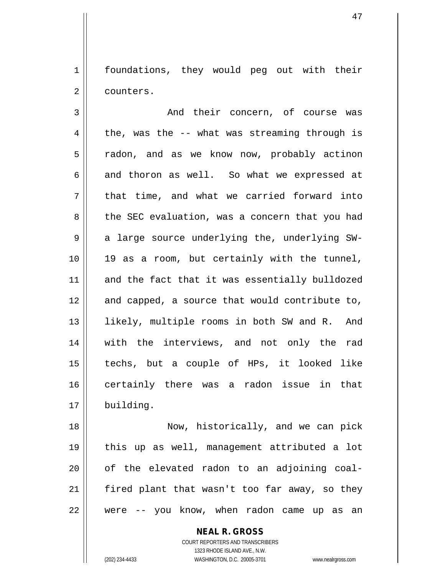1 | foundations, they would peg out with their 2 | counters.

3 And their concern, of course was  $4 \parallel$  the, was the -- what was streaming through is 5 || radon, and as we know now, probably actinon  $6 \parallel$  and thoron as well. So what we expressed at  $7 \parallel$  that time, and what we carried forward into 8 || the SEC evaluation, was a concern that you had 9 || a large source underlying the, underlying SW-10 19 as a room, but certainly with the tunnel, 11 and the fact that it was essentially bulldozed 12 and capped, a source that would contribute to, 13 || likely, multiple rooms in both SW and R. And 14 with the interviews, and not only the rad 15 techs, but a couple of HPs, it looked like 16 certainly there was a radon issue in that 17 building.

18 || Now, historically, and we can pick 19 this up as well, management attributed a lot  $20$  || of the elevated radon to an adjoining coal-21 || fired plant that wasn't too far away, so they  $22$  || were  $-$  you know, when radon came up as an

> COURT REPORTERS AND TRANSCRIBERS 1323 RHODE ISLAND AVE., N.W. (202) 234-4433 WASHINGTON, D.C. 20005-3701 www.nealrgross.com

**NEAL R. GROSS**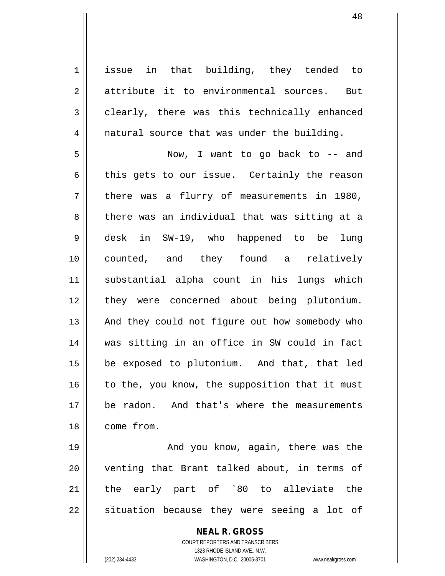1 || issue in that building, they tended to 2 attribute it to environmental sources. But  $3 \parallel$  clearly, there was this technically enhanced 4 || natural source that was under the building.

5 Now, I want to go back to -- and  $6 \parallel$  this gets to our issue. Certainly the reason  $7 \parallel$  there was a flurry of measurements in 1980, 8 there was an individual that was sitting at a 9 desk in SW-19, who happened to be lung 10 counted, and they found a relatively 11 substantial alpha count in his lungs which 12 || they were concerned about being plutonium. 13 || And they could not figure out how somebody who 14 was sitting in an office in SW could in fact 15 be exposed to plutonium. And that, that led  $16$  to the, you know, the supposition that it must 17 || be radon. And that's where the measurements 18 come from.

19 And you know, again, there was the 20 || venting that Brant talked about, in terms of 21 the early part of `80 to alleviate the  $22$  || situation because they were seeing a lot of

> **NEAL R. GROSS** COURT REPORTERS AND TRANSCRIBERS 1323 RHODE ISLAND AVE., N.W. (202) 234-4433 WASHINGTON, D.C. 20005-3701 www.nealrgross.com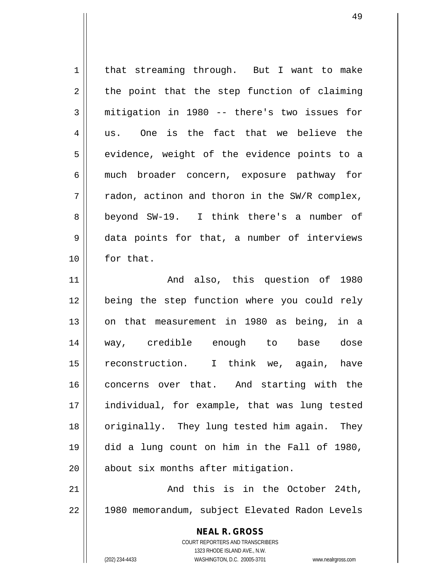| $\mathbf 1$ | that streaming through. But I want to make                                                          |
|-------------|-----------------------------------------------------------------------------------------------------|
| 2           | the point that the step function of claiming                                                        |
| 3           | mitigation in 1980 -- there's two issues for                                                        |
| 4           | One is the fact that we believe the<br>us.                                                          |
| 5           | evidence, weight of the evidence points to a                                                        |
| 6           | much broader concern, exposure pathway for                                                          |
| 7           | radon, actinon and thoron in the SW/R complex,                                                      |
| 8           | beyond SW-19. I think there's a number of                                                           |
| 9           | data points for that, a number of interviews                                                        |
| 10          | for that.                                                                                           |
| 11          | And also, this question of 1980                                                                     |
| 12          | being the step function where you could rely                                                        |
| 13          | on that measurement in 1980 as being, in a                                                          |
| 14          | way, credible enough to base dose                                                                   |
| 15          | reconstruction. I think we, again, have                                                             |
| 16          | concerns over that. And starting with the                                                           |
| 17          | individual, for example, that was lung tested                                                       |
| 18          | originally. They lung tested him again. They                                                        |
| 19          | did a lung count on him in the Fall of 1980,                                                        |
| 20          | about six months after mitigation.                                                                  |
| 21          | And this is in the October 24th,                                                                    |
| 22          | 1980 memorandum, subject Elevated Radon Levels                                                      |
|             |                                                                                                     |
|             | <b>NEAL R. GROSS</b>                                                                                |
|             | COURT REPORTERS AND TRANSCRIBERS                                                                    |
|             | 1323 RHODE ISLAND AVE., N.W.<br>(202) 234-4433<br>WASHINGTON, D.C. 20005-3701<br>www.nealrgross.com |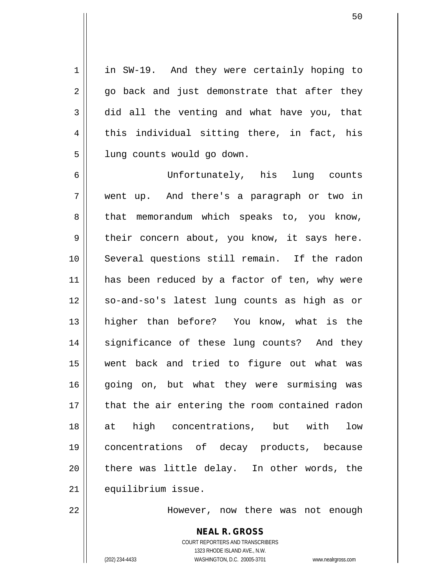1 || in SW-19. And they were certainly hoping to  $2 \parallel$  go back and just demonstrate that after they  $3 \parallel$  did all the venting and what have you, that  $4 \parallel$  this individual sitting there, in fact, his 5 | lung counts would go down.

6 Unfortunately, his lung counts 7 went up. And there's a paragraph or two in  $8 \parallel$  that memorandum which speaks to, you know,  $9 \parallel$  their concern about, you know, it says here. 10 Several questions still remain. If the radon 11 || has been reduced by a factor of ten, why were 12 || so-and-so's latest lung counts as high as or 13 higher than before? You know, what is the 14 significance of these lung counts? And they 15 went back and tried to figure out what was 16 going on, but what they were surmising was 17 || that the air entering the room contained radon 18 at high concentrations, but with low 19 concentrations of decay products, because 20 || there was little delay. In other words, the 21 | equilibrium issue.

22 However, now there was not enough

**NEAL R. GROSS** COURT REPORTERS AND TRANSCRIBERS 1323 RHODE ISLAND AVE., N.W. (202) 234-4433 WASHINGTON, D.C. 20005-3701 www.nealrgross.com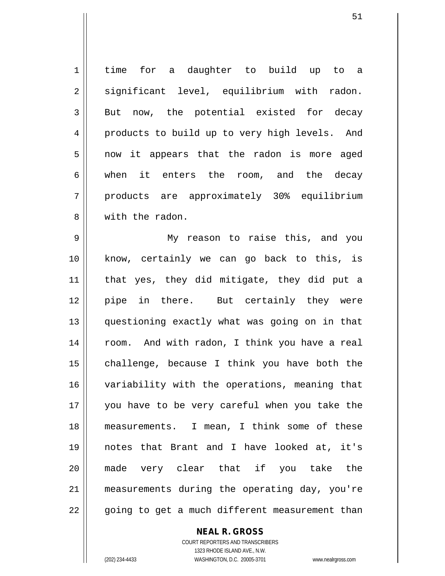1 | time for a daughter to build up to a 2 || significant level, equilibrium with radon.  $3 \parallel$  But now, the potential existed for decay 4 || products to build up to very high levels. And 5 || now it appears that the radon is more aged 6 when it enters the room, and the decay 7 products are approximately 30% equilibrium 8 We with the radon.

9 My reason to raise this, and you 10 know, certainly we can go back to this, is 11 || that yes, they did mitigate, they did put a 12 pipe in there. But certainly they were 13 questioning exactly what was going on in that 14 || room. And with radon, I think you have a real  $15$  challenge, because I think you have both the 16 variability with the operations, meaning that 17 you have to be very careful when you take the 18 measurements. I mean, I think some of these 19 notes that Brant and I have looked at, it's 20 made very clear that if you take the 21 measurements during the operating day, you're 22 || going to get a much different measurement than

**NEAL R. GROSS**

COURT REPORTERS AND TRANSCRIBERS 1323 RHODE ISLAND AVE., N.W. (202) 234-4433 WASHINGTON, D.C. 20005-3701 www.nealrgross.com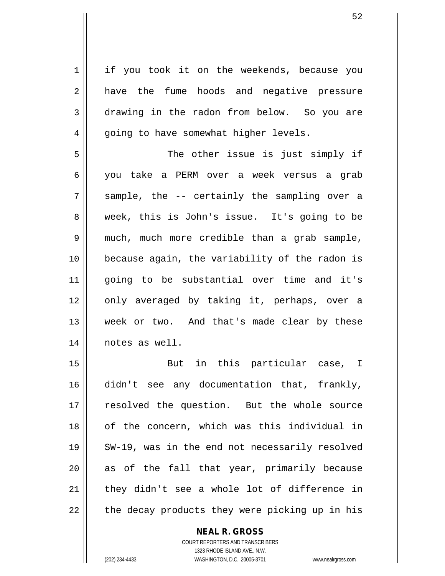1 | if you took it on the weekends, because you 2 a have the fume hoods and negative pressure 3 drawing in the radon from below. So you are  $4 \parallel$  going to have somewhat higher levels.

5 || The other issue is just simply if 6 you take a PERM over a week versus a grab  $7 \parallel$  sample, the -- certainly the sampling over a 8 week, this is John's issue. It's going to be 9 much, much more credible than a grab sample, 10 because again, the variability of the radon is 11 going to be substantial over time and it's 12 || only averaged by taking it, perhaps, over a 13 || week or two. And that's made clear by these 14 notes as well.

15 But in this particular case, I 16 didn't see any documentation that, frankly, 17 || resolved the question. But the whole source 18 || of the concern, which was this individual in 19 SW-19, was in the end not necessarily resolved  $20$  as of the fall that year, primarily because  $21$  | they didn't see a whole lot of difference in 22 || the decay products they were picking up in his

> **NEAL R. GROSS** COURT REPORTERS AND TRANSCRIBERS 1323 RHODE ISLAND AVE., N.W.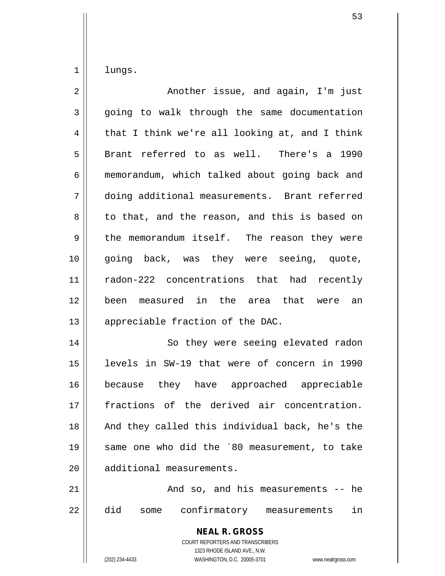$1$  lungs.

| $\overline{2}$ | Another issue, and again, I'm just                                                                                                                              |
|----------------|-----------------------------------------------------------------------------------------------------------------------------------------------------------------|
| $\mathfrak{Z}$ | going to walk through the same documentation                                                                                                                    |
| 4              | that I think we're all looking at, and I think                                                                                                                  |
| 5              | Brant referred to as well. There's a 1990                                                                                                                       |
| 6              | memorandum, which talked about going back and                                                                                                                   |
| 7              | doing additional measurements. Brant referred                                                                                                                   |
| 8              | to that, and the reason, and this is based on                                                                                                                   |
| 9              | the memorandum itself. The reason they were                                                                                                                     |
| 10             | going back, was they were seeing, quote,                                                                                                                        |
| 11             | radon-222 concentrations that had recently                                                                                                                      |
| 12             | been measured in the area that were an                                                                                                                          |
| 13             | appreciable fraction of the DAC.                                                                                                                                |
| 14             | So they were seeing elevated radon                                                                                                                              |
| 15             | levels in SW-19 that were of concern in 1990                                                                                                                    |
| 16             | because they have approached appreciable                                                                                                                        |
| 17             | fractions of the derived air concentration.                                                                                                                     |
| 18             | And they called this individual back, he's the                                                                                                                  |
| 19             | same one who did the `80 measurement, to take                                                                                                                   |
| 20             | additional measurements.                                                                                                                                        |
| 21             | And so, and his measurements -- he                                                                                                                              |
| 22             | did<br>confirmatory measurements<br>in<br>some                                                                                                                  |
|                | <b>NEAL R. GROSS</b><br>COURT REPORTERS AND TRANSCRIBERS<br>1323 RHODE ISLAND AVE., N.W.<br>(202) 234-4433<br>WASHINGTON, D.C. 20005-3701<br>www.nealrgross.com |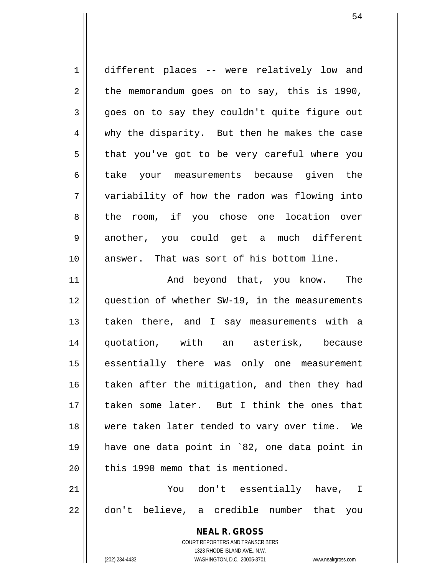1 || different places -- were relatively low and  $2 \parallel$  the memorandum goes on to say, this is 1990,  $3 \parallel$  goes on to say they couldn't quite figure out 4 why the disparity. But then he makes the case  $5 \parallel$  that you've got to be very careful where you 6 take your measurements because given the 7 variability of how the radon was flowing into 8 the room, if you chose one location over 9 another, you could get a much different 10 answer. That was sort of his bottom line. 11 || The Rand beyond that, you know. The 12 question of whether SW-19, in the measurements

13 || taken there, and I say measurements with a 14 quotation, with an asterisk, because 15 essentially there was only one measurement 16 taken after the mitigation, and then they had 17 taken some later. But I think the ones that 18 were taken later tended to vary over time. We 19 have one data point in `82, one data point in  $20$  || this 1990 memo that is mentioned.

21 You don't essentially have, I 22 don't believe, a credible number that you

> **NEAL R. GROSS** COURT REPORTERS AND TRANSCRIBERS 1323 RHODE ISLAND AVE., N.W. (202) 234-4433 WASHINGTON, D.C. 20005-3701 www.nealrgross.com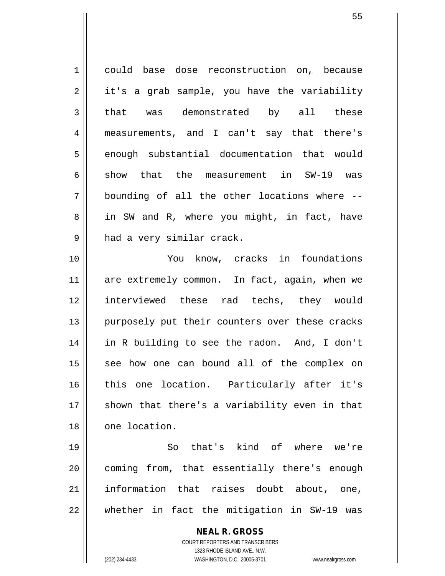| 1  | could base dose reconstruction on, because               |
|----|----------------------------------------------------------|
| 2  | it's a grab sample, you have the variability             |
| 3  | that was demonstrated by all these                       |
| 4  | measurements, and I can't say that there's               |
| 5  | enough substantial documentation that would              |
| 6  | show that the measurement in SW-19 was                   |
| 7  | bounding of all the other locations where --             |
| 8  | in SW and R, where you might, in fact, have              |
| 9  | had a very similar crack.                                |
| 10 | You know, cracks in foundations                          |
| 11 | are extremely common. In fact, again, when we            |
| 12 | interviewed these rad techs, they would                  |
| 13 | purposely put their counters over these cracks           |
| 14 | in R building to see the radon. And, I don't             |
| 15 | see how one can bound all of the complex on              |
| 16 | this one location. Particularly after it's               |
| 17 | shown that there's a variability even in that            |
| 18 | one location.                                            |
| 19 | So that's kind of where we're                            |
| 20 | coming from, that essentially there's enough             |
| 21 | information that raises doubt about, one,                |
| 22 | whether in fact the mitigation in SW-19 was              |
|    | <b>NEAL R. GROSS</b><br>COURT REPORTERS AND TRANSCRIBERS |

1323 RHODE ISLAND AVE., N.W.

 $\prod$ 

(202) 234-4433 WASHINGTON, D.C. 20005-3701 www.nealrgross.com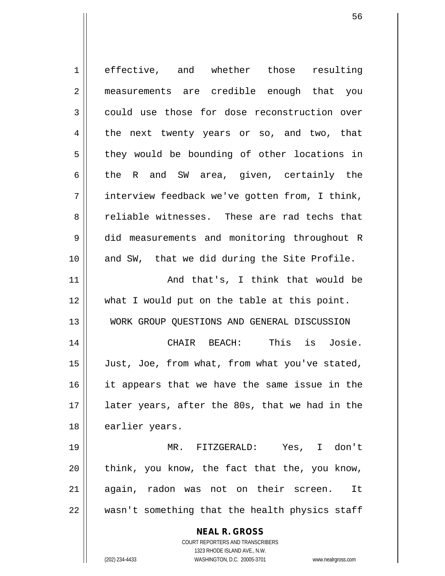**NEAL R. GROSS** COURT REPORTERS AND TRANSCRIBERS 1323 RHODE ISLAND AVE., N.W. 1 effective, and whether those resulting 2 measurements are credible enough that you 3 could use those for dose reconstruction over 4 the next twenty years or so, and two, that  $5 \parallel$  they would be bounding of other locations in 6 the R and SW area, given, certainly the 7 interview feedback we've gotten from, I think, 8 Teliable witnesses. These are rad techs that 9 did measurements and monitoring throughout R 10 and SW, that we did during the Site Profile. 11 And that's, I think that would be 12 what I would put on the table at this point. 13 WORK GROUP QUESTIONS AND GENERAL DISCUSSION 14 CHAIR BEACH: This is Josie. 15 | Just, Joe, from what, from what you've stated, 16 it appears that we have the same issue in the 17 || later years, after the 80s, that we had in the 18 | earlier years. 19 MR. FITZGERALD: Yes, I don't  $20$  || think, you know, the fact that the, you know, 21 || again, radon was not on their screen. It 22 wasn't something that the health physics staff

(202) 234-4433 WASHINGTON, D.C. 20005-3701 www.nealrgross.com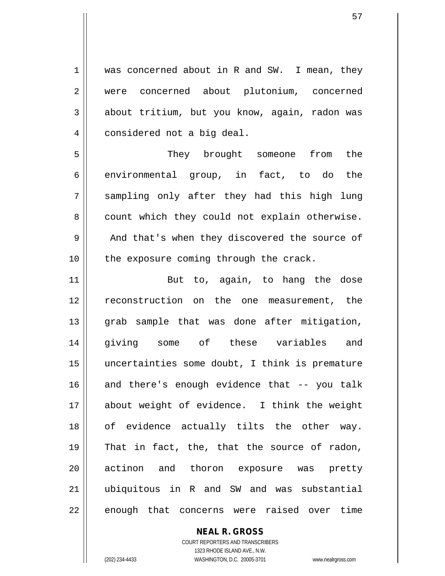1 was concerned about in R and SW. I mean, they 2 | were concerned about plutonium, concerned  $3 \parallel$  about tritium, but you know, again, radon was 4 | considered not a big deal.

5 They brought someone from the  $6 \parallel$  environmental group, in fact, to do the 7 sampling only after they had this high lung  $8 \parallel$  count which they could not explain otherwise. 9 | And that's when they discovered the source of  $10$  || the exposure coming through the crack.

11 || But to, again, to hang the dose 12 || reconstruction on the one measurement, the 13 || grab sample that was done after mitigation, 14 giving some of these variables and 15 uncertainties some doubt, I think is premature 16 and there's enough evidence that -- you talk 17 about weight of evidence. I think the weight 18 || of evidence actually tilts the other way. 19  $\parallel$  That in fact, the, that the source of radon, 20 || actinon and thoron exposure was pretty 21 ubiquitous in R and SW and was substantial  $22$  enough that concerns were raised over time

> **NEAL R. GROSS** COURT REPORTERS AND TRANSCRIBERS 1323 RHODE ISLAND AVE., N.W. (202) 234-4433 WASHINGTON, D.C. 20005-3701 www.nealrgross.com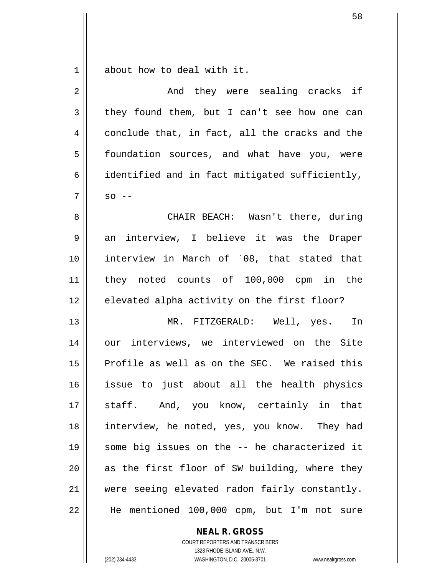$1 \parallel$  about how to deal with it.

| $\overline{2}$ | And they were sealing cracks if                |
|----------------|------------------------------------------------|
| 3              | they found them, but I can't see how one can   |
| 4              | conclude that, in fact, all the cracks and the |
| 5              | foundation sources, and what have you, were    |
| 6              | identified and in fact mitigated sufficiently, |
| 7              | $SO$ --                                        |
| 8              | CHAIR BEACH: Wasn't there, during              |
| 9              | an interview, I believe it was the Draper      |
| 10             | interview in March of `08, that stated that    |
| 11             | they noted counts of 100,000 cpm in the        |
| 12             | elevated alpha activity on the first floor?    |
| 13             | MR. FITZGERALD: Well, yes. In                  |
| 14             | our interviews, we interviewed on the Site     |
| 15             | Profile as well as on the SEC. We raised this  |
| 16             | issue to just about all the health physics     |
| 17             | staff. And, you know, certainly in that        |
| 18             | interview, he noted, yes, you know. They had   |
| 19             | some big issues on the -- he characterized it  |
| 20             | as the first floor of SW building, where they  |
| 21             | were seeing elevated radon fairly constantly.  |
| 22             | He mentioned 100,000 cpm, but I'm not sure     |

**NEAL R. GROSS**

COURT REPORTERS AND TRANSCRIBERS 1323 RHODE ISLAND AVE., N.W. (202) 234-4433 WASHINGTON, D.C. 20005-3701 www.nealrgross.com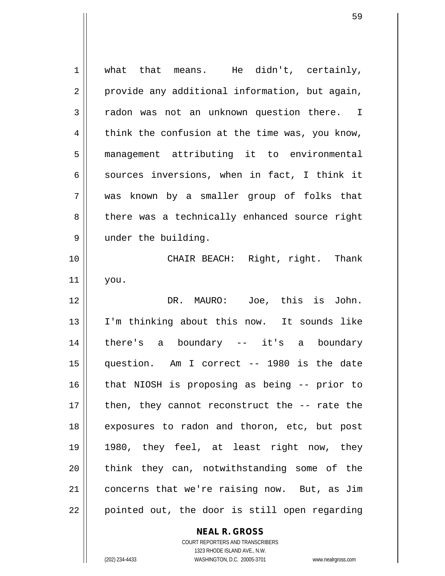$1 \parallel$  what that means. He didn't, certainly,  $2 \parallel$  provide any additional information, but again, 3 || radon was not an unknown question there. I  $4 \parallel$  think the confusion at the time was, you know, 5 management attributing it to environmental 6  $\parallel$  sources inversions, when in fact, I think it 7 was known by a smaller group of folks that 8 || there was a technically enhanced source right 9 | under the building. 10 CHAIR BEACH: Right, right. Thank 11 you. 12 DR. MAURO: Joe, this is John. 13 I'm thinking about this now. It sounds like 14 there's a boundary -- it's a boundary 15 question. Am I correct -- 1980 is the date 16 that NIOSH is proposing as being -- prior to 17 || then, they cannot reconstruct the -- rate the 18 exposures to radon and thoron, etc, but post 19 1980, they feel, at least right now, they 20 || think they can, notwithstanding some of the 21 concerns that we're raising now. But, as Jim 22 || pointed out, the door is still open regarding

## **NEAL R. GROSS** COURT REPORTERS AND TRANSCRIBERS

1323 RHODE ISLAND AVE., N.W. (202) 234-4433 WASHINGTON, D.C. 20005-3701 www.nealrgross.com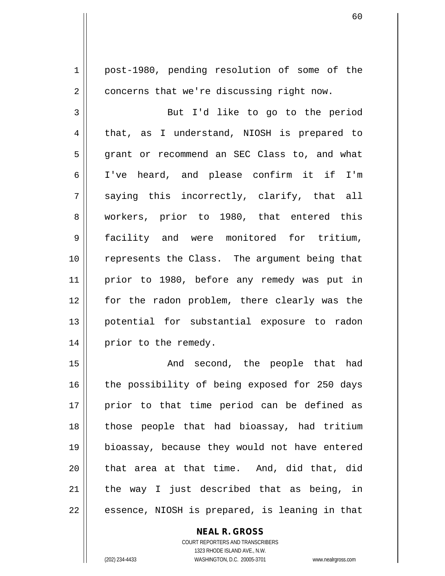1 | post-1980, pending resolution of some of the 2 | concerns that we're discussing right now.

3 || But I'd like to go to the period 4 that, as I understand, NIOSH is prepared to 5 grant or recommend an SEC Class to, and what 6 I've heard, and please confirm it if I'm  $7 \parallel$  saying this incorrectly, clarify, that all 8 || workers, prior to 1980, that entered this 9 facility and were monitored for tritium, 10 || represents the Class. The argument being that 11 prior to 1980, before any remedy was put in 12 for the radon problem, there clearly was the 13 potential for substantial exposure to radon 14 || prior to the remedy.

15 || The Sand Second, the people that had 16 || the possibility of being exposed for 250 days 17 || prior to that time period can be defined as 18 || those people that had bioassay, had tritium 19 bioassay, because they would not have entered  $20$  || that area at that time. And, did that, did 21  $\parallel$  the way I just described that as being, in  $22 \parallel$  essence, NIOSH is prepared, is leaning in that

## **NEAL R. GROSS**

COURT REPORTERS AND TRANSCRIBERS 1323 RHODE ISLAND AVE., N.W. (202) 234-4433 WASHINGTON, D.C. 20005-3701 www.nealrgross.com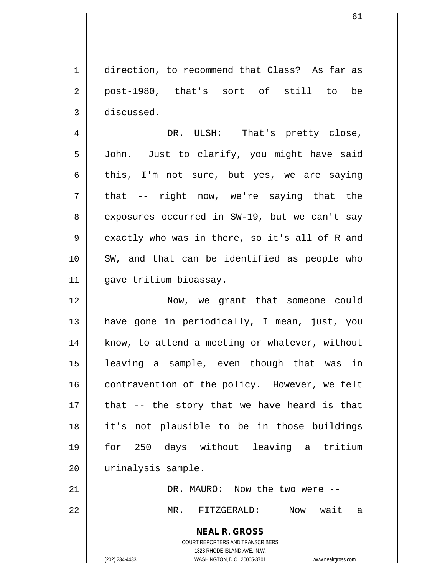1 direction, to recommend that Class? As far as 2 || post-1980, that's sort of still to be 3 discussed.

4 DR. ULSH: That's pretty close, 5 | John. Just to clarify, you might have said 6 this, I'm not sure, but yes, we are saying  $7 \parallel$  that -- right now, we're saying that the 8 exposures occurred in SW-19, but we can't say  $9 \parallel$  exactly who was in there, so it's all of R and 10 || SW, and that can be identified as people who 11 gave tritium bioassay.

12 Now, we grant that someone could 13 have gone in periodically, I mean, just, you 14 || know, to attend a meeting or whatever, without 15 leaving a sample, even though that was in 16 | contravention of the policy. However, we felt  $17$  || that  $-$  the story that we have heard is that 18 it's not plausible to be in those buildings 19 for 250 days without leaving a tritium 20 | urinalysis sample.

21 DR. MAURO: Now the two were -- 22 MR. FITZGERALD: Now wait a

**NEAL R. GROSS**

COURT REPORTERS AND TRANSCRIBERS 1323 RHODE ISLAND AVE., N.W. (202) 234-4433 WASHINGTON, D.C. 20005-3701 www.nealrgross.com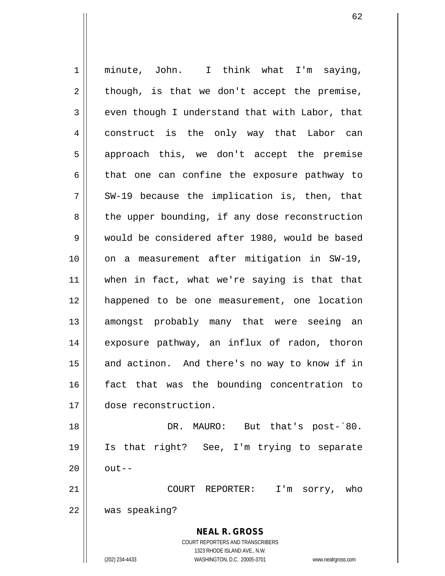**NEAL R. GROSS** COURT REPORTERS AND TRANSCRIBERS 1323 RHODE ISLAND AVE., N.W. 1 || minute, John. I think what I'm saying,  $2 \parallel$  though, is that we don't accept the premise,  $3 \parallel$  even though I understand that with Labor, that 4 construct is the only way that Labor can 5 || approach this, we don't accept the premise  $6 \parallel$  that one can confine the exposure pathway to  $7 \parallel$  SW-19 because the implication is, then, that  $8 \parallel$  the upper bounding, if any dose reconstruction 9 Would be considered after 1980, would be based 10 || on a measurement after mitigation in SW-19, 11 when in fact, what we're saying is that that 12 happened to be one measurement, one location 13 || amongst probably many that were seeing an 14 || exposure pathway, an influx of radon, thoron  $15$  and actinon. And there's no way to know if in 16 fact that was the bounding concentration to 17 dose reconstruction. 18 DR. MAURO: But that's post-`80. 19 Is that right? See, I'm trying to separate  $20 \parallel$  out--21 COURT REPORTER: I'm sorry, who 22 was speaking?

(202) 234-4433 WASHINGTON, D.C. 20005-3701 www.nealrgross.com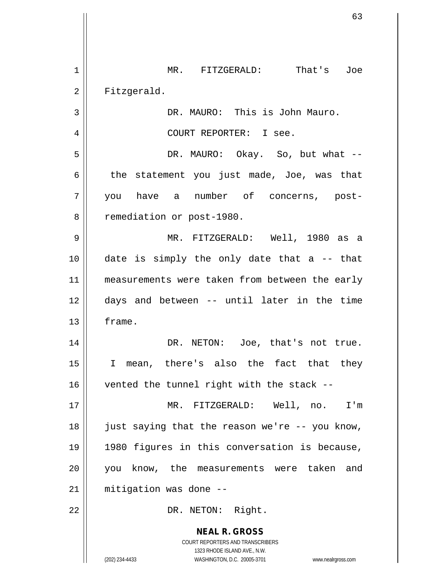**NEAL R. GROSS** COURT REPORTERS AND TRANSCRIBERS 1323 RHODE ISLAND AVE., N.W. 1 || MR. FITZGERALD: That's Joe 2 | Fitzgerald. 3 | DR. MAURO: This is John Mauro. 4 COURT REPORTER: I see. 5 DR. MAURO: Okay. So, but what --  $6 \parallel$  the statement you just made, Joe, was that 7 you have a number of concerns, post-8 | remediation or post-1980. 9 MR. FITZGERALD: Well, 1980 as a  $10$  || date is simply the only date that a -- that 11 || measurements were taken from between the early 12 days and between -- until later in the time 13 frame. 14 || DR. NETON: Joe, that's not true. 15 I mean, there's also the fact that they  $16$  | vented the tunnel right with the stack --17 MR. FITZGERALD: Well, no. I'm 18 just saying that the reason we're -- you know, 19 1980 figures in this conversation is because, 20 you know, the measurements were taken and 21 mitigation was done -- 22 || DR. NETON: Right.

(202) 234-4433 WASHINGTON, D.C. 20005-3701 www.nealrgross.com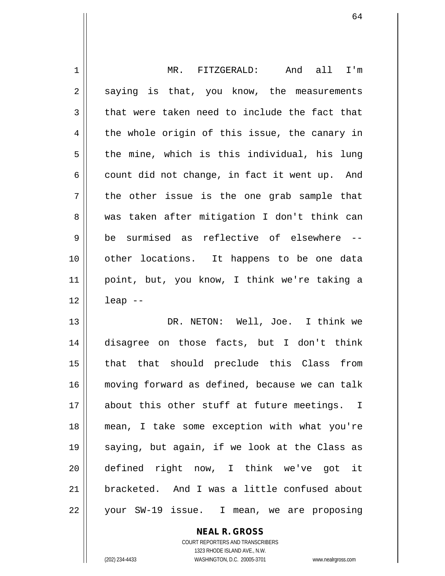| 1  | MR. FITZGERALD:<br>And all<br>I'm              |
|----|------------------------------------------------|
| 2  | saying is that, you know, the measurements     |
| 3  | that were taken need to include the fact that  |
| 4  | the whole origin of this issue, the canary in  |
| 5  | the mine, which is this individual, his lung   |
| 6  | count did not change, in fact it went up. And  |
| 7  | the other issue is the one grab sample that    |
| 8  | was taken after mitigation I don't think can   |
| 9  | be surmised as reflective of elsewhere --      |
| 10 | other locations. It happens to be one data     |
| 11 | point, but, you know, I think we're taking a   |
| 12 | $leap$ --                                      |
| 13 | DR. NETON: Well, Joe. I think we               |
| 14 | disagree on those facts, but I don't think     |
| 15 | that that should preclude this Class from      |
| 16 | moving forward as defined, because we can talk |
| 17 | about this other stuff at future meetings. I   |
| 18 | mean, I take some exception with what you're   |
| 19 | saying, but again, if we look at the Class as  |
| 20 | defined right now, I think we've got it        |
| 21 | bracketed. And I was a little confused about   |
| 22 | your SW-19 issue.<br>I mean, we are proposing  |

COURT REPORTERS AND TRANSCRIBERS 1323 RHODE ISLAND AVE., N.W. (202) 234-4433 WASHINGTON, D.C. 20005-3701 www.nealrgross.com

**NEAL R. GROSS**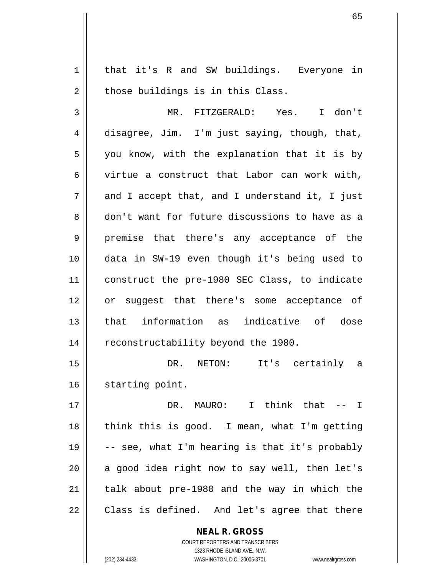1 || that it's R and SW buildings. Everyone in  $2 \parallel$  those buildings is in this Class.

3 MR. FITZGERALD: Yes. I don't 4 disagree, Jim. I'm just saying, though, that,  $5 \parallel$  you know, with the explanation that it is by 6 virtue a construct that Labor can work with,  $7 \parallel$  and I accept that, and I understand it, I just 8 don't want for future discussions to have as a 9 premise that there's any acceptance of the 10 data in SW-19 even though it's being used to 11 construct the pre-1980 SEC Class, to indicate 12 || or suggest that there's some acceptance of 13 that information as indicative of dose 14 | reconstructability beyond the 1980.

15 DR. NETON: It's certainly a 16 || starting point.

17 DR. MAURO: I think that -- I 18 || think this is good. I mean, what I'm getting  $\parallel$  -- see, what I'm hearing is that it's probably || a good idea right now to say well, then let's | talk about pre-1980 and the way in which the || Class is defined. And let's agree that there

> **NEAL R. GROSS** COURT REPORTERS AND TRANSCRIBERS 1323 RHODE ISLAND AVE., N.W. (202) 234-4433 WASHINGTON, D.C. 20005-3701 www.nealrgross.com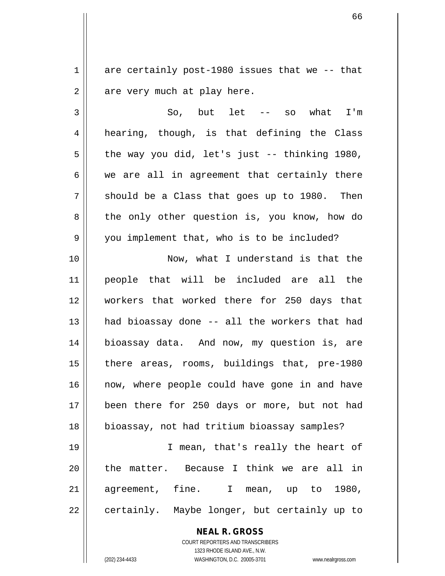$1 \parallel$  are certainly post-1980 issues that we -- that  $2 \parallel$  are very much at play here.

 $3 \parallel$  So, but let -- so what I'm  $4 \parallel$  hearing, though, is that defining the Class  $5 \parallel$  the way you did, let's just -- thinking 1980,  $6 \parallel$  we are all in agreement that certainly there  $7 \parallel$  should be a Class that goes up to 1980. Then 8 || the only other question is, you know, how do 9 || you implement that, who is to be included?

10 Now, what I understand is that the 11 people that will be included are all the 12 workers that worked there for 250 days that 13 had bioassay done -- all the workers that had 14 bioassay data. And now, my question is, are 15 || there areas, rooms, buildings that, pre-1980 16 || now, where people could have gone in and have 17 been there for 250 days or more, but not had 18 bioassay, not had tritium bioassay samples?

19 || I mean, that's really the heart of 20 || the matter. Because I think we are all in 21 agreement, fine. I mean, up to 1980,  $22 \parallel$  certainly. Maybe longer, but certainly up to

> **NEAL R. GROSS** COURT REPORTERS AND TRANSCRIBERS 1323 RHODE ISLAND AVE., N.W. (202) 234-4433 WASHINGTON, D.C. 20005-3701 www.nealrgross.com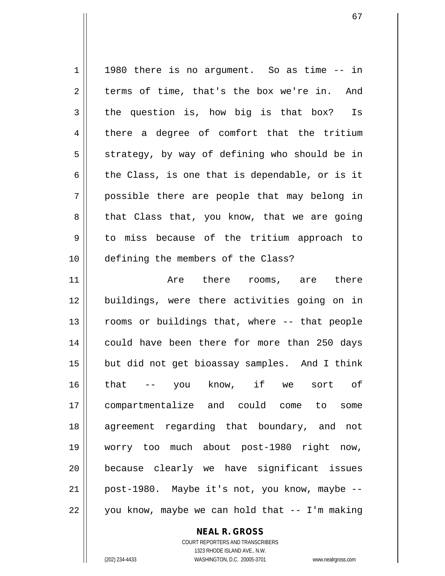$1 \parallel$  1980 there is no argument. So as time  $-$ - in  $2 \parallel$  terms of time, that's the box we're in. And  $3 \parallel$  the question is, how big is that box? Is 4 there a degree of comfort that the tritium  $5 \parallel$  strategy, by way of defining who should be in  $6 \parallel$  the Class, is one that is dependable, or is it 7 possible there are people that may belong in  $8 \parallel$  that Class that, you know, that we are going 9 to miss because of the tritium approach to 10 defining the members of the Class? 11 Are there rooms, are there 12 buildings, were there activities going on in 13 || rooms or buildings that, where -- that people 14 || could have been there for more than 250 days 15 || but did not get bioassay samples. And I think 16 that -- you know, if we sort of 17 compartmentalize and could come to some 18 agreement regarding that boundary, and not 19 worry too much about post-1980 right now,

21 || post-1980. Maybe it's not, you know, maybe -- $22 \parallel$  you know, maybe we can hold that  $--$  I'm making

20 because clearly we have significant issues

**NEAL R. GROSS** COURT REPORTERS AND TRANSCRIBERS

1323 RHODE ISLAND AVE., N.W. (202) 234-4433 WASHINGTON, D.C. 20005-3701 www.nealrgross.com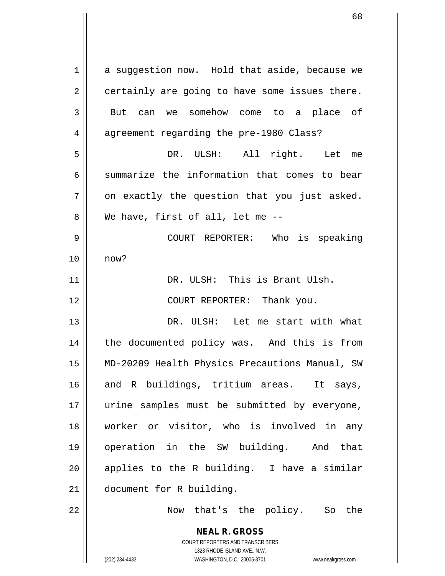| $\mathbf 1$    | a suggestion now. Hold that aside, because we                                                                                             |
|----------------|-------------------------------------------------------------------------------------------------------------------------------------------|
| $\overline{2}$ | certainly are going to have some issues there.                                                                                            |
| 3              | But can we somehow come to a place of                                                                                                     |
| $\overline{4}$ | agreement regarding the pre-1980 Class?                                                                                                   |
| 5              | DR. ULSH: All right. Let me                                                                                                               |
| 6              | summarize the information that comes to bear                                                                                              |
| 7              | on exactly the question that you just asked.                                                                                              |
| 8              | We have, first of all, let me --                                                                                                          |
| 9              | COURT REPORTER: Who is speaking                                                                                                           |
| 10             | now?                                                                                                                                      |
| 11             | DR. ULSH: This is Brant Ulsh.                                                                                                             |
| 12             | COURT REPORTER: Thank you.                                                                                                                |
| 13             | DR. ULSH: Let me start with what                                                                                                          |
| 14             | the documented policy was. And this is from                                                                                               |
| 15             | MD-20209 Health Physics Precautions Manual, SW                                                                                            |
| 16             | and R buildings, tritium areas.<br>It says,                                                                                               |
| 17             | urine samples must be submitted by everyone,                                                                                              |
| 18             | worker or visitor, who is involved in any                                                                                                 |
| 19             | operation in the SW building. And<br>that                                                                                                 |
| 20             | applies to the R building. I have a similar                                                                                               |
| 21             | document for R building.                                                                                                                  |
| 22             | Now that's the policy. So the                                                                                                             |
|                | <b>NEAL R. GROSS</b><br>COURT REPORTERS AND TRANSCRIBERS<br>1323 RHODE ISLAND AVE., N.W.<br>(202) 234-4433<br>WASHINGTON, D.C. 20005-3701 |
|                | www.nealrgross.com                                                                                                                        |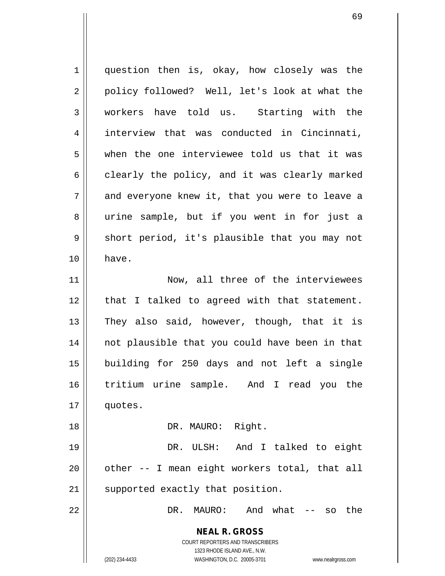**NEAL R. GROSS** COURT REPORTERS AND TRANSCRIBERS 1323 RHODE ISLAND AVE., N.W. (202) 234-4433 WASHINGTON, D.C. 20005-3701 www.nealrgross.com 1 question then is, okay, how closely was the 2 || policy followed? Well, let's look at what the 3 workers have told us. Starting with the 4 || interview that was conducted in Cincinnati,  $5 \parallel$  when the one interviewee told us that it was  $6 \parallel$  clearly the policy, and it was clearly marked  $7 \parallel$  and everyone knew it, that you were to leave a 8 urine sample, but if you went in for just a  $9 \parallel$  short period, it's plausible that you may not 10 have. 11 || Now, all three of the interviewees 12 || that I talked to agreed with that statement.  $13$  They also said, however, though, that it is 14 not plausible that you could have been in that 15 building for 250 days and not left a single 16 tritium urine sample. And I read you the 17 quotes. 18 || DR. MAURO: Right. 19 DR. ULSH: And I talked to eight  $20$  || other  $-$  I mean eight workers total, that all 21 || supported exactly that position. 22 DR. MAURO: And what -- so the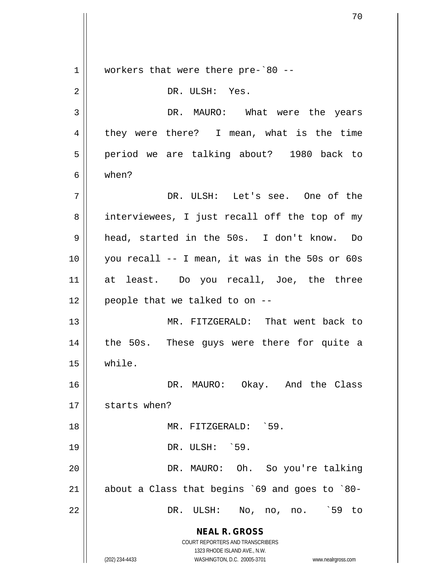**NEAL R. GROSS** COURT REPORTERS AND TRANSCRIBERS 1323 RHODE ISLAND AVE., N.W. (202) 234-4433 WASHINGTON, D.C. 20005-3701 www.nealrgross.com 1 || workers that were there pre-`80 --2 || DR. ULSH: Yes. 3 DR. MAURO: What were the years 4 they were there? I mean, what is the time 5 || period we are talking about? 1980 back to 6 when? 7 DR. ULSH: Let's see. One of the 8 || interviewees, I just recall off the top of my 9 || head, started in the 50s. I don't know. Do 10 you recall -- I mean, it was in the 50s or 60s 11 at least. Do you recall, Joe, the three  $12$  | people that we talked to on  $-$ -13 MR. FITZGERALD: That went back to 14 || the 50s. These guys were there for quite a 15 while. 16 DR. MAURO: Okay. And the Class  $17$   $\parallel$  starts when? 18 MR. FITZGERALD: `59. 19 || DR. ULSH: `59. 20 DR. MAURO: Oh. So you're talking 21  $\parallel$  about a Class that begins `69 and goes to `80-22 DR. ULSH: No, no, no. `59 to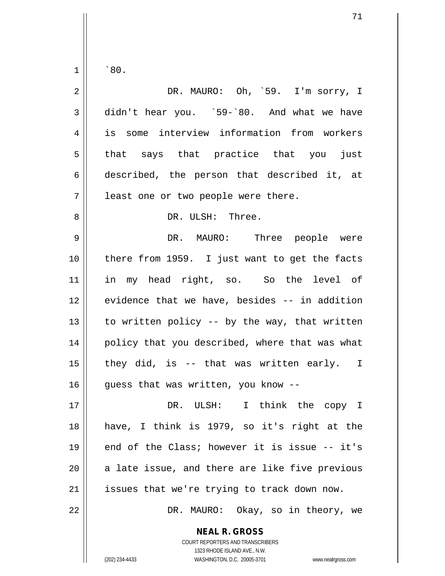$1 \parallel$  `80.

| $\overline{2}$ | DR. MAURO: Oh, `59. I'm sorry, I               |
|----------------|------------------------------------------------|
| 3              | didn't hear you. `59-`80. And what we have     |
| 4              | is some interview information from workers     |
| 5              | that says that practice that you just          |
| 6              | described, the person that described it, at    |
| 7              | least one or two people were there.            |
| 8              | DR. ULSH: Three.                               |
| 9              | DR. MAURO: Three people were                   |
| 10             | there from 1959. I just want to get the facts  |
| 11             | in my head right, so. So the level of          |
| 12             | evidence that we have, besides -- in addition  |
| 13             | to written policy -- by the way, that written  |
| 14             | policy that you described, where that was what |
| 15             | they did, is -- that was written early. I      |
| 16             | guess that was written, you know --            |
| 17             | DR. ULSH: I think the copy I                   |
| 18             | have, I think is 1979, so it's right at the    |
| 19             | end of the Class; however it is issue -- it's  |
| 20             | a late issue, and there are like five previous |
| 21             | issues that we're trying to track down now.    |
| 22             | DR. MAURO: Okay, so in theory, we              |

**NEAL R. GROSS**

COURT REPORTERS AND TRANSCRIBERS 1323 RHODE ISLAND AVE., N.W. (202) 234-4433 WASHINGTON, D.C. 20005-3701 www.nealrgross.com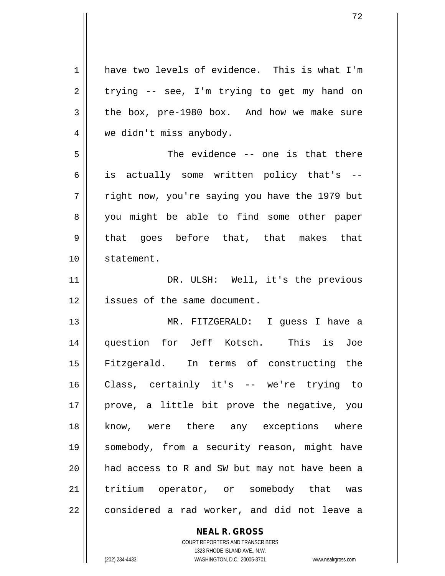1 have two levels of evidence. This is what I'm  $2 \parallel$  trying -- see, I'm trying to get my hand on  $3 \parallel$  the box, pre-1980 box. And how we make sure 4 we didn't miss anybody. 5 The evidence -- one is that there  $6 \parallel$  is actually some written policy that's -- $7 \parallel$  right now, you're saying you have the 1979 but 8 you might be able to find some other paper 9 that goes before that, that makes that 10 statement. 11 || DR. ULSH: Well, it's the previous 12 | issues of the same document. 13 MR. FITZGERALD: I guess I have a 14 question for Jeff Kotsch. This is Joe 15 Fitzgerald. In terms of constructing the 16 Class, certainly it's -- we're trying to 17 || prove, a little bit prove the negative, you 18 || know, were there any exceptions where 19 somebody, from a security reason, might have  $20$  || had access to R and SW but may not have been a 21 || tritium operator, or somebody that was  $22$  || considered a rad worker, and did not leave a

> **NEAL R. GROSS** COURT REPORTERS AND TRANSCRIBERS

> > 1323 RHODE ISLAND AVE., N.W.

(202) 234-4433 WASHINGTON, D.C. 20005-3701 www.nealrgross.com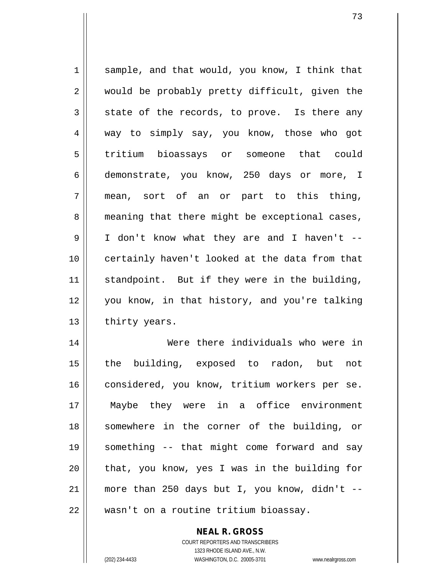$1 \parallel$  sample, and that would, you know, I think that 2 would be probably pretty difficult, given the  $3 \parallel$  state of the records, to prove. Is there any 4 way to simply say, you know, those who got 5 tritium bioassays or someone that could 6 demonstrate, you know, 250 days or more, I  $7 \parallel$  mean, sort of an or part to this thing, 8 meaning that there might be exceptional cases, 9 I don't know what they are and I haven't -- 10 certainly haven't looked at the data from that 11 || standpoint. But if they were in the building, 12 you know, in that history, and you're talking  $13$  | thirty years. 14 Were there individuals who were in 15 the building, exposed to radon, but not 16 | considered, you know, tritium workers per se.

17 Maybe they were in a office environment 18 somewhere in the corner of the building, or 19 something -- that might come forward and say  $20$  || that, you know, yes I was in the building for 21  $\parallel$  more than 250 days but I, you know, didn't --22 || wasn't on a routine tritium bioassay.

> COURT REPORTERS AND TRANSCRIBERS 1323 RHODE ISLAND AVE., N.W. (202) 234-4433 WASHINGTON, D.C. 20005-3701 www.nealrgross.com

**NEAL R. GROSS**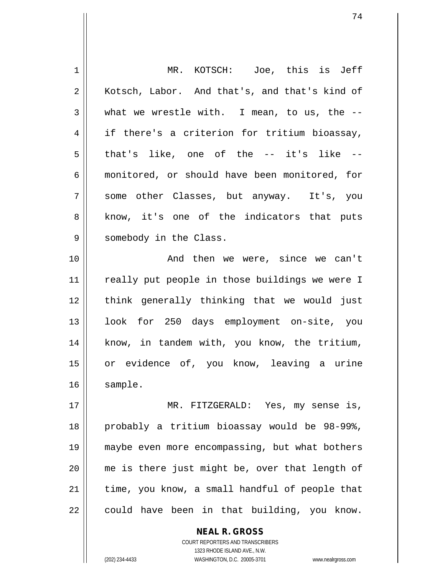| 1  | MR. KOTSCH: Joe, this is Jeff                  |
|----|------------------------------------------------|
| 2  | Kotsch, Labor. And that's, and that's kind of  |
| 3  | what we wrestle with. I mean, to us, the $--$  |
| 4  | if there's a criterion for tritium bioassay,   |
| 5  | that's like, one of the -- it's like --        |
| 6  | monitored, or should have been monitored, for  |
| 7  | some other Classes, but anyway. It's, you      |
| 8  | know, it's one of the indicators that puts     |
| 9  | somebody in the Class.                         |
| 10 | And then we were, since we can't               |
| 11 | really put people in those buildings we were I |
| 12 | think generally thinking that we would just    |
| 13 | look for 250 days employment on-site, you      |
| 14 | know, in tandem with, you know, the tritium,   |
| 15 | or evidence of, you know, leaving a urine      |
| 16 | sample.                                        |
| 17 | MR. FITZGERALD: Yes, my sense is,              |
| 18 | probably a tritium bioassay would be 98-99%,   |
| 19 | maybe even more encompassing, but what bothers |
| 20 | me is there just might be, over that length of |
| 21 | time, you know, a small handful of people that |
| 22 | could have been in that building, you know.    |
|    |                                                |

 $\mathsf{II}$ 

COURT REPORTERS AND TRANSCRIBERS 1323 RHODE ISLAND AVE., N.W. (202) 234-4433 WASHINGTON, D.C. 20005-3701 www.nealrgross.com

**NEAL R. GROSS**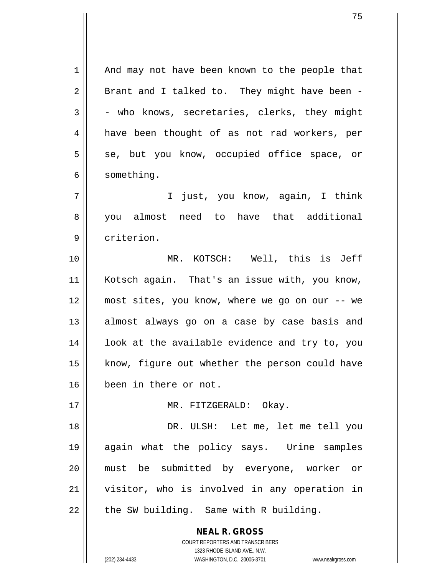**NEAL R. GROSS** 1 || And may not have been known to the people that  $2 \parallel$  Brant and I talked to. They might have been - $3 \parallel$  - who knows, secretaries, clerks, they might 4 || have been thought of as not rad workers, per  $5 \parallel$  se, but you know, occupied office space, or 6 | something. 7 I just, you know, again, I think 8 || you almost need to have that additional 9 | criterion. 10 MR. KOTSCH: Well, this is Jeff 11 || Kotsch again. That's an issue with, you know, 12 most sites, you know, where we go on our -- we 13 || almost always go on a case by case basis and  $14$  ||  $100k$  at the available evidence and try to, you 15 || know, figure out whether the person could have 16 been in there or not. 17 || MR. FITZGERALD: Okay. 18 DR. ULSH: Let me, let me tell you 19 again what the policy says. Urine samples 20 must be submitted by everyone, worker or 21 visitor, who is involved in any operation in  $22$  | the SW building. Same with R building.

> COURT REPORTERS AND TRANSCRIBERS 1323 RHODE ISLAND AVE., N.W.

(202) 234-4433 WASHINGTON, D.C. 20005-3701 www.nealrgross.com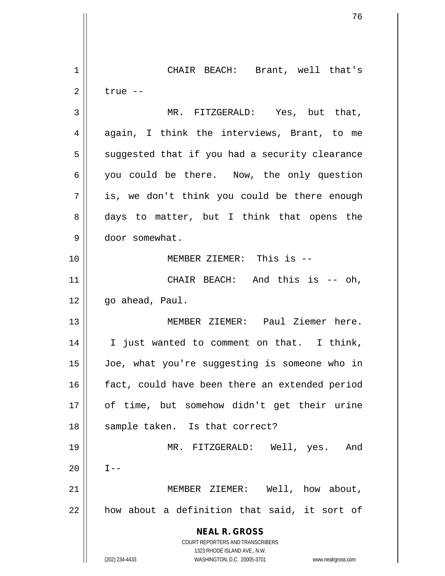**NEAL R. GROSS** COURT REPORTERS AND TRANSCRIBERS 1323 RHODE ISLAND AVE., N.W. (202) 234-4433 WASHINGTON, D.C. 20005-3701 www.nealrgross.com 1 CHAIR BEACH: Brant, well that's  $2 \parallel$  true --3 MR. FITZGERALD: Yes, but that,  $4 \parallel$  again, I think the interviews, Brant, to me  $5 \parallel$  suggested that if you had a security clearance 6 you could be there. Now, the only question  $7 \parallel$  is, we don't think you could be there enough 8 days to matter, but I think that opens the 9 door somewhat. 10 MEMBER ZIEMER: This is -- 11 || CHAIR BEACH: And this is -- oh,  $12 \parallel$  go ahead, Paul. 13 MEMBER ZIEMER: Paul Ziemer here. 14 I just wanted to comment on that. I think, 15 Joe, what you're suggesting is someone who in 16 || fact, could have been there an extended period 17 of time, but somehow didn't get their urine 18 || sample taken. Is that correct? 19 MR. FITZGERALD: Well, yes. And  $20$  ||  $I--$ 21 MEMBER ZIEMER: Well, how about,  $22$  how about a definition that said, it sort of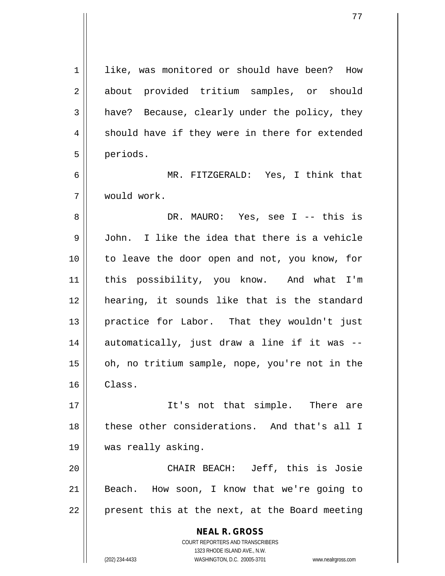**NEAL R. GROSS** COURT REPORTERS AND TRANSCRIBERS 1 | like, was monitored or should have been? How 2 about provided tritium samples, or should  $3 \parallel$  have? Because, clearly under the policy, they  $4 \parallel$  should have if they were in there for extended 5 | periods. 6 MR. FITZGERALD: Yes, I think that 7 would work. 8 DR. MAURO: Yes, see I -- this is 9 John. I like the idea that there is a vehicle 10 to leave the door open and not, you know, for 11 this possibility, you know. And what I'm 12 hearing, it sounds like that is the standard 13 || practice for Labor. That they wouldn't just  $14$  automatically, just draw a line if it was -- $15$  | oh, no tritium sample, nope, you're not in the 16 Class. 17 || It's not that simple. There are 18 || these other considerations. And that's all I 19 was really asking. 20 CHAIR BEACH: Jeff, this is Josie 21 || Beach. How soon, I know that we're going to  $22$  | present this at the next, at the Board meeting

1323 RHODE ISLAND AVE., N.W.

(202) 234-4433 WASHINGTON, D.C. 20005-3701 www.nealrgross.com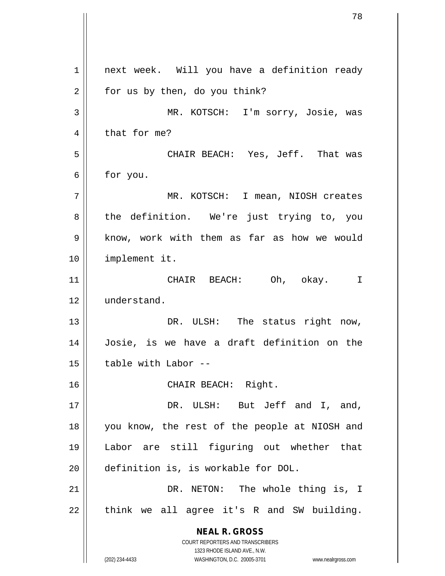**NEAL R. GROSS** COURT REPORTERS AND TRANSCRIBERS 1323 RHODE ISLAND AVE., N.W. (202) 234-4433 WASHINGTON, D.C. 20005-3701 www.nealrgross.com 1 | next week. Will you have a definition ready  $2 \parallel$  for us by then, do you think? 3 MR. KOTSCH: I'm sorry, Josie, was  $4 \parallel$  that for me? 5 CHAIR BEACH: Yes, Jeff. That was  $6 \parallel$  for you. 7 MR. KOTSCH: I mean, NIOSH creates 8 the definition. We're just trying to, you 9 | know, work with them as far as how we would 10 implement it. 11 CHAIR BEACH: Oh, okay. I 12 understand. 13 || DR. ULSH: The status right now, 14 Josie, is we have a draft definition on the  $15$  | table with Labor --16 CHAIR BEACH: Right. 17 || DR. ULSH: But Jeff and I, and, 18 you know, the rest of the people at NIOSH and 19 Labor are still figuring out whether that 20 definition is, is workable for DOL. 21 || DR. NETON: The whole thing is, I  $22$  || think we all agree it's R and SW building.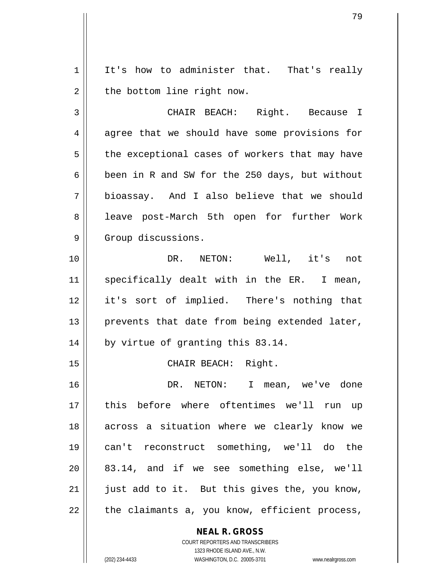1 | It's how to administer that. That's really  $2 \parallel$  the bottom line right now.

3 CHAIR BEACH: Right. Because I  $4 \parallel$  agree that we should have some provisions for  $5 \parallel$  the exceptional cases of workers that may have 6  $\parallel$  been in R and SW for the 250 days, but without 7 bioassay. And I also believe that we should 8 || leave post-March 5th open for further Work 9 | Group discussions.

10 DR. NETON: Well, it's not 11 || specifically dealt with in the ER. I mean, 12 it's sort of implied. There's nothing that  $13$  || prevents that date from being extended later, 14 || by virtue of granting this 83.14.

15 || CHAIR BEACH: Right.

16 DR. NETON: I mean, we've done 17 || this before where oftentimes we'll run up 18 || across a situation where we clearly know we 19 can't reconstruct something, we'll do the 20 83.14, and if we see something else, we'll  $21$  | just add to it. But this gives the, you know,  $22$  | the claimants a, you know, efficient process,

**NEAL R. GROSS**

COURT REPORTERS AND TRANSCRIBERS 1323 RHODE ISLAND AVE., N.W. (202) 234-4433 WASHINGTON, D.C. 20005-3701 www.nealrgross.com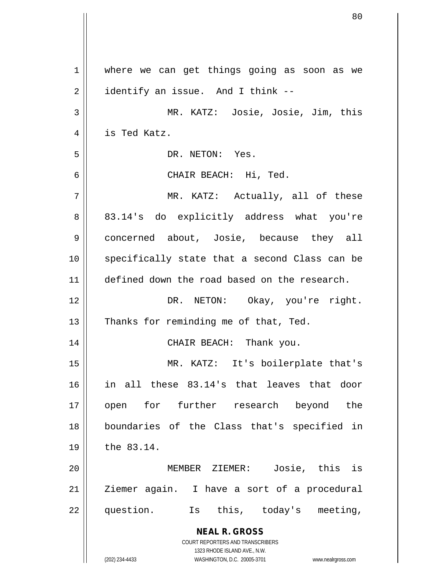| 1  | where we can get things going as soon as we                                                      |
|----|--------------------------------------------------------------------------------------------------|
| 2  | identify an issue. And I think --                                                                |
| 3  | MR. KATZ: Josie, Josie, Jim, this                                                                |
| 4  | is Ted Katz.                                                                                     |
| 5  | DR. NETON: Yes.                                                                                  |
| 6  | CHAIR BEACH: Hi, Ted.                                                                            |
| 7  | MR. KATZ: Actually, all of these                                                                 |
| 8  | 83.14's do explicitly address what you're                                                        |
| 9  | concerned about, Josie, because they all                                                         |
| 10 | specifically state that a second Class can be                                                    |
| 11 | defined down the road based on the research.                                                     |
| 12 | DR. NETON: Okay, you're right.                                                                   |
| 13 | Thanks for reminding me of that, Ted.                                                            |
| 14 | CHAIR BEACH: Thank you.                                                                          |
| 15 | MR. KATZ: It's boilerplate that's                                                                |
| 16 | in all these 83.14's that leaves that door                                                       |
| 17 | open for further research beyond the                                                             |
| 18 | boundaries of the Class that's specified in                                                      |
| 19 | the 83.14.                                                                                       |
| 20 | MEMBER ZIEMER: Josie, this is                                                                    |
| 21 | Ziemer again. I have a sort of a procedural                                                      |
| 22 | question.<br>Is this, today's<br>meeting,                                                        |
|    | <b>NEAL R. GROSS</b>                                                                             |
|    | <b>COURT REPORTERS AND TRANSCRIBERS</b>                                                          |
|    | 1323 RHODE ISLAND AVE., N.W.<br>(202) 234-4433<br>WASHINGTON, D.C. 20005-3701 www.nealrgross.com |

 $\overline{\phantom{a}}$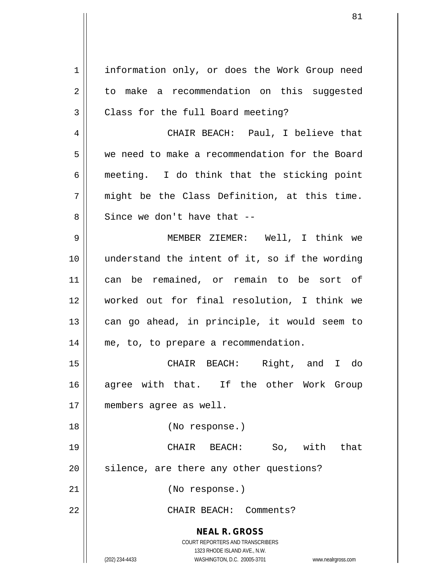**NEAL R. GROSS** COURT REPORTERS AND TRANSCRIBERS 1323 RHODE ISLAND AVE., N.W. (202) 234-4433 WASHINGTON, D.C. 20005-3701 www.nealrgross.com 1 | information only, or does the Work Group need  $2 \parallel$  to make a recommendation on this suggested  $3 \parallel$  Class for the full Board meeting? 4 CHAIR BEACH: Paul, I believe that 5 we need to make a recommendation for the Board  $6 \parallel$  meeting. I do think that the sticking point  $7 \parallel$  might be the Class Definition, at this time.  $8 \parallel$  Since we don't have that  $-$ 9 MEMBER ZIEMER: Well, I think we 10 || understand the intent of it, so if the wording 11 can be remained, or remain to be sort of 12 worked out for final resolution, I think we  $13$  can go ahead, in principle, it would seem to 14 | me, to, to prepare a recommendation. 15 CHAIR BEACH: Right, and I do 16 agree with that. If the other Work Group 17 members agree as well. 18 (No response.) 19 CHAIR BEACH: So, with that  $20$  silence, are there any other questions? 21 (No response.) 22 || CHAIR BEACH: Comments?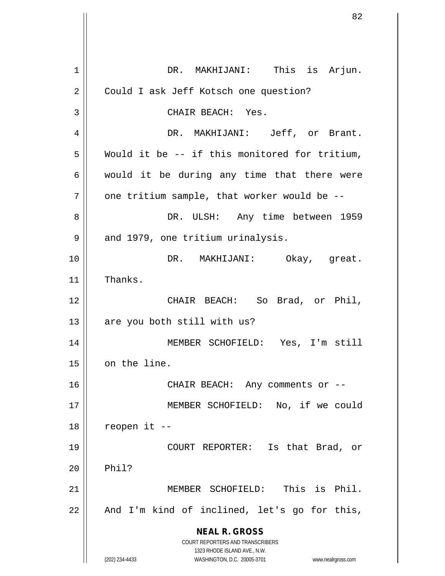**NEAL R. GROSS** COURT REPORTERS AND TRANSCRIBERS 1323 RHODE ISLAND AVE., N.W. (202) 234-4433 WASHINGTON, D.C. 20005-3701 www.nealrgross.com 1 DR. MAKHIJANI: This is Arjun. 2 | Could I ask Jeff Kotsch one question? 3 || CHAIR BEACH: Yes. 4 DR. MAKHIJANI: Jeff, or Brant.  $5 \parallel$  Would it be -- if this monitored for tritium,  $6 \parallel$  would it be during any time that there were  $7$  || one tritium sample, that worker would be  $-$ -8 DR. ULSH: Any time between 1959 9 | and 1979, one tritium urinalysis. 10 DR. MAKHIJANI: Okay, great. 11 | Thanks. 12 CHAIR BEACH: So Brad, or Phil,  $13$  | are you both still with us? 14 MEMBER SCHOFIELD: Yes, I'm still 15 | on the line. 16 || CHAIR BEACH: Any comments or --17 MEMBER SCHOFIELD: No, if we could  $18$  | reopen it --19 COURT REPORTER: Is that Brad, or  $20$  | Phil? 21 MEMBER SCHOFIELD: This is Phil.  $22$  || And I'm kind of inclined, let's go for this,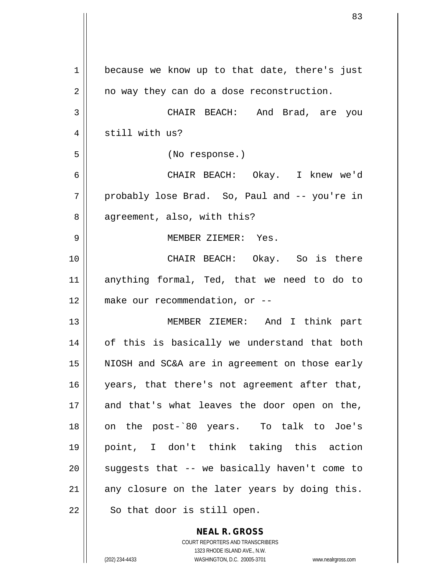| 1  | because we know up to that date, there's just  |
|----|------------------------------------------------|
| 2  | no way they can do a dose reconstruction.      |
| 3  | CHAIR BEACH: And Brad, are you                 |
| 4  | still with us?                                 |
| 5  | (No response.)                                 |
| 6  | CHAIR BEACH: Okay. I knew we'd                 |
| 7  | probably lose Brad. So, Paul and -- you're in  |
| 8  | agreement, also, with this?                    |
| 9  | MEMBER ZIEMER: Yes.                            |
| 10 | CHAIR BEACH: Okay. So is there                 |
| 11 | anything formal, Ted, that we need to do to    |
| 12 | make our recommendation, or --                 |
| 13 | MEMBER ZIEMER: And I think part                |
| 14 | of this is basically we understand that both   |
| 15 | NIOSH and SC&A are in agreement on those early |
| 16 | years, that there's not agreement after that,  |
| 17 | and that's what leaves the door open on the,   |
| 18 | on the post-`80 years. To talk to Joe's        |
| 19 | point, I don't think taking this action        |
| 20 | suggests that -- we basically haven't come to  |
| 21 | any closure on the later years by doing this.  |
| 22 | So that door is still open.                    |
|    |                                                |

COURT REPORTERS AND TRANSCRIBERS 1323 RHODE ISLAND AVE., N.W. (202) 234-4433 WASHINGTON, D.C. 20005-3701 www.nealrgross.com

**NEAL R. GROSS**

 $\mathsf{I}$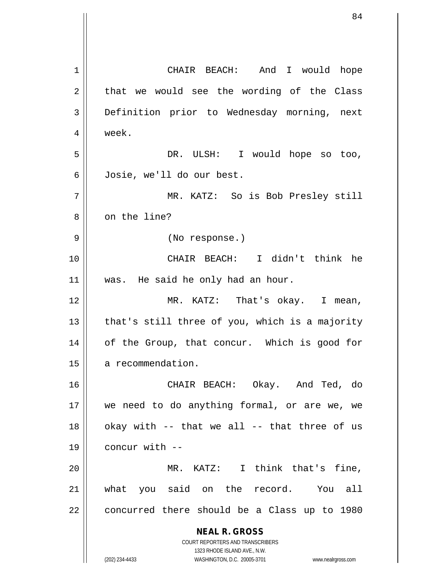**NEAL R. GROSS** COURT REPORTERS AND TRANSCRIBERS 1323 RHODE ISLAND AVE., N.W. (202) 234-4433 WASHINGTON, D.C. 20005-3701 www.nealrgross.com 1 || CHAIR BEACH: And I would hope  $2 \parallel$  that we would see the wording of the Class 3 || Definition prior to Wednesday morning, next 4 week. 5 DR. ULSH: I would hope so too, 6 Josie, we'll do our best. 7 MR. KATZ: So is Bob Presley still 8 || on the line? 9 (No response.) 10 CHAIR BEACH: I didn't think he 11 || was. He said he only had an hour. 12 MR. KATZ: That's okay. I mean,  $13$  || that's still three of you, which is a majority 14 || of the Group, that concur. Which is good for 15 | a recommendation. 16 CHAIR BEACH: Okay. And Ted, do 17 || we need to do anything formal, or are we, we  $18$  || okay with -- that we all -- that three of us  $19$  | concur with  $-$ 20 MR. KATZ: I think that's fine, 21 what you said on the record. You all  $22$  | concurred there should be a Class up to 1980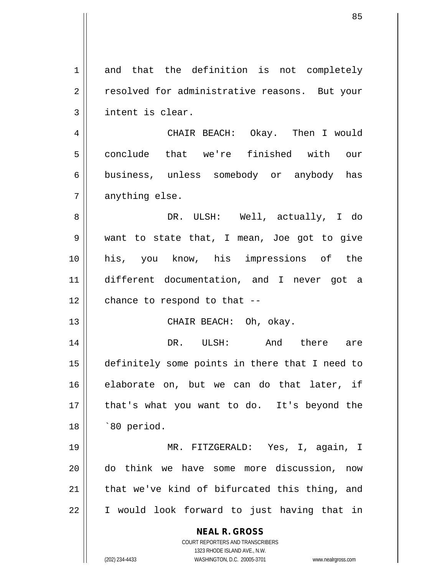| 1  | and that the definition is not completely                           |
|----|---------------------------------------------------------------------|
| 2  | resolved for administrative reasons. But your                       |
| 3  | intent is clear.                                                    |
| 4  | CHAIR BEACH: Okay. Then I would                                     |
| 5  | conclude that we're finished with our                               |
| 6  | business, unless somebody or anybody has                            |
| 7  | anything else.                                                      |
| 8  | DR. ULSH: Well, actually, I do                                      |
| 9  | want to state that, I mean, Joe got to give                         |
| 10 | his, you know, his impressions of the                               |
| 11 | different documentation, and I never got a                          |
| 12 | chance to respond to that --                                        |
| 13 | CHAIR BEACH: Oh, okay.                                              |
| 14 | DR. ULSH: And there are                                             |
| 15 | definitely some points in there that I need to                      |
| 16 | elaborate on, but we can do that later, if                          |
| 17 | that's what you want to do. It's beyond the                         |
| 18 | `80 period.                                                         |
| 19 | MR. FITZGERALD: Yes, I, again, I                                    |
| 20 | do think we have some more discussion,<br>now                       |
| 21 | that we've kind of bifurcated this thing, and                       |
| 22 | I would look forward to just having that in                         |
|    | <b>NEAL R. GROSS</b>                                                |
|    | COURT REPORTERS AND TRANSCRIBERS                                    |
|    | 1323 RHODE ISLAND AVE., N.W.                                        |
|    | (202) 234-4433<br>WASHINGTON, D.C. 20005-3701<br>www.nealrgross.com |

 $\mathsf{I}$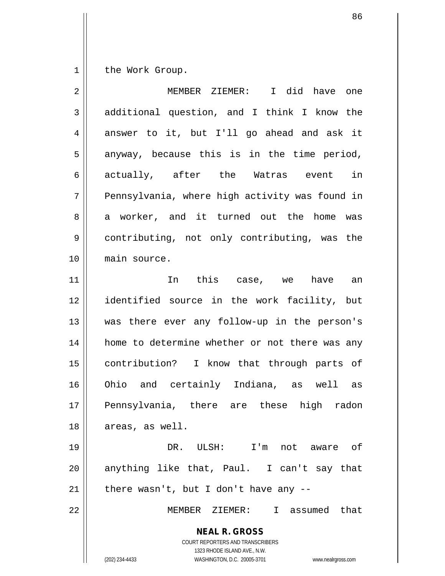$1$  the Work Group.

| 2  | I did have one<br>MEMBER ZIEMER:                                                                                                                                |
|----|-----------------------------------------------------------------------------------------------------------------------------------------------------------------|
| 3  | additional question, and I think I know the                                                                                                                     |
| 4  | answer to it, but I'll go ahead and ask it                                                                                                                      |
| 5  | anyway, because this is in the time period,                                                                                                                     |
| 6  | actually, after the Watras event<br>in                                                                                                                          |
| 7  | Pennsylvania, where high activity was found in                                                                                                                  |
| 8  | a worker, and it turned out the home<br>was                                                                                                                     |
| 9  | contributing, not only contributing, was the                                                                                                                    |
| 10 | main source.                                                                                                                                                    |
| 11 | In this case, we have<br>an                                                                                                                                     |
| 12 | identified source in the work facility, but                                                                                                                     |
| 13 | was there ever any follow-up in the person's                                                                                                                    |
| 14 | home to determine whether or not there was any                                                                                                                  |
| 15 | contribution? I know that through parts of                                                                                                                      |
| 16 | Ohio and certainly Indiana, as well as                                                                                                                          |
| 17 | Pennsylvania, there are these high radon                                                                                                                        |
| 18 | areas, as well.                                                                                                                                                 |
| 19 | DR. ULSH: I'm not aware of                                                                                                                                      |
| 20 | anything like that, Paul. I can't say that                                                                                                                      |
| 21 | there wasn't, but I don't have any --                                                                                                                           |
| 22 | MEMBER ZIEMER: I assumed that                                                                                                                                   |
|    | <b>NEAL R. GROSS</b><br>COURT REPORTERS AND TRANSCRIBERS<br>1323 RHODE ISLAND AVE., N.W.<br>WASHINGTON, D.C. 20005-3701<br>(202) 234-4433<br>www.nealrgross.com |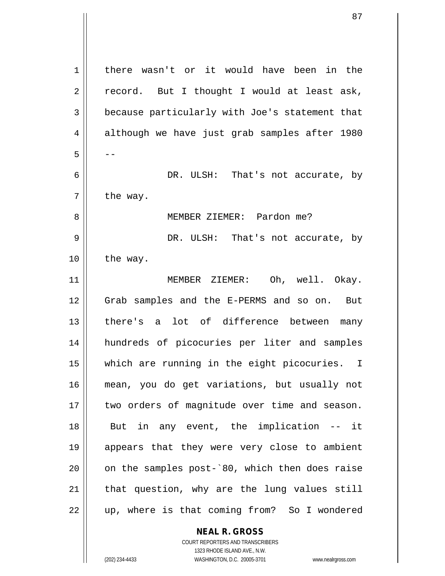1 | there wasn't or it would have been in the  $2 \parallel$  record. But I thought I would at least ask, 3 **because particularly with Joe's statement that** 4 although we have just grab samples after 1980  $5 \parallel - -$ 6 DR. ULSH: That's not accurate, by  $7$  | the way. 8 MEMBER ZIEMER: Pardon me? 9 DR. ULSH: That's not accurate, by  $10$  | the way. 11 MEMBER ZIEMER: Oh, well. Okay. 12 Grab samples and the E-PERMS and so on. But 13 || there's a lot of difference between many 14 hundreds of picocuries per liter and samples 15 which are running in the eight picocuries. I 16 mean, you do get variations, but usually not 17 || two orders of magnitude over time and season. 18 But in any event, the implication -- it 19 appears that they were very close to ambient  $20$  | on the samples post- $80$ , which then does raise  $21$  | that question, why are the lung values still  $22 \parallel$  up, where is that coming from? So I wondered

> **NEAL R. GROSS** COURT REPORTERS AND TRANSCRIBERS

> > 1323 RHODE ISLAND AVE., N.W.

(202) 234-4433 WASHINGTON, D.C. 20005-3701 www.nealrgross.com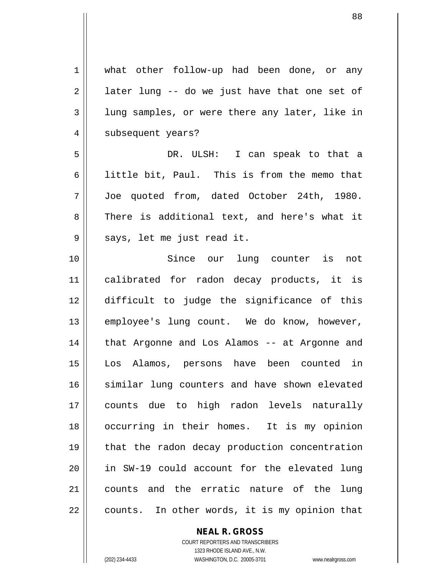1 what other follow-up had been done, or any  $2 \parallel$  later lung -- do we just have that one set of 3 lung samples, or were there any later, like in 4 || subsequent years? 5 DR. ULSH: I can speak to that a 6  $\parallel$  little bit, Paul. This is from the memo that 7 Joe quoted from, dated October 24th, 1980. 8 There is additional text, and here's what it 9 || says, let me just read it. 10 Since our lung counter is not 11 calibrated for radon decay products, it is 12 difficult to judge the significance of this 13 || employee's lung count. We do know, however, 14 || that Argonne and Los Alamos -- at Argonne and 15 Los Alamos, persons have been counted in 16 similar lung counters and have shown elevated 17 counts due to high radon levels naturally 18 occurring in their homes. It is my opinion 19 that the radon decay production concentration 20 in SW-19 could account for the elevated lung 21 counts and the erratic nature of the lung  $22 \parallel$  counts. In other words, it is my opinion that

## **NEAL R. GROSS**

COURT REPORTERS AND TRANSCRIBERS 1323 RHODE ISLAND AVE., N.W. (202) 234-4433 WASHINGTON, D.C. 20005-3701 www.nealrgross.com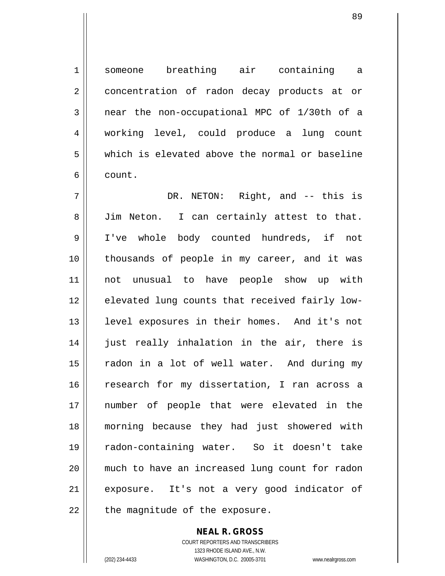1 someone breathing air containing a 2 concentration of radon decay products at or  $3 \parallel$  near the non-occupational MPC of 1/30th of a 4 working level, could produce a lung count 5 which is elevated above the normal or baseline 6 count.

7 DR. NETON: Right, and -- this is 8 Jim Neton. I can certainly attest to that. 9 I've whole body counted hundreds, if not 10 thousands of people in my career, and it was 11 not unusual to have people show up with 12 elevated lung counts that received fairly low-13 || level exposures in their homes. And it's not 14 || just really inhalation in the air, there is 15 || radon in a lot of well water. And during my 16 || research for my dissertation, I ran across a 17 number of people that were elevated in the 18 morning because they had just showered with 19 radon-containing water. So it doesn't take 20 much to have an increased lung count for radon 21 || exposure. It's not a very good indicator of  $22$  | the magnitude of the exposure.

> **NEAL R. GROSS** COURT REPORTERS AND TRANSCRIBERS 1323 RHODE ISLAND AVE., N.W. (202) 234-4433 WASHINGTON, D.C. 20005-3701 www.nealrgross.com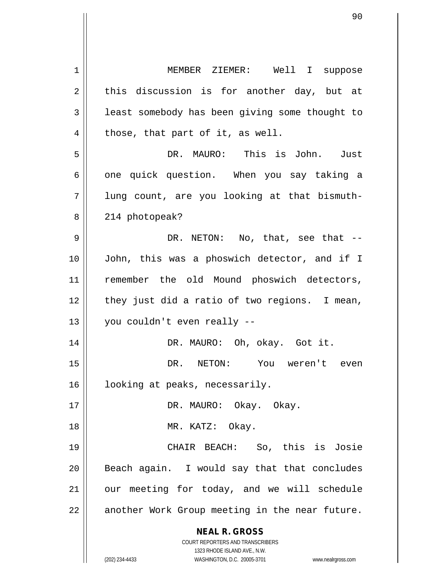**NEAL R. GROSS** COURT REPORTERS AND TRANSCRIBERS 1323 RHODE ISLAND AVE., N.W. (202) 234-4433 WASHINGTON, D.C. 20005-3701 www.nealrgross.com 1 MEMBER ZIEMER: Well I suppose  $2 \parallel$  this discussion is for another day, but at 3 | least somebody has been giving some thought to  $4 \parallel$  those, that part of it, as well. 5 DR. MAURO: This is John. Just  $6 \parallel$  one quick question. When you say taking a  $7 \parallel$  lung count, are you looking at that bismuth-8 || 214 photopeak?  $9 \parallel$  DR. NETON: No, that, see that  $-$ 10 John, this was a phoswich detector, and if I 11 || remember the old Mound phoswich detectors,  $12$  | they just did a ratio of two regions. I mean,  $13 \parallel$  you couldn't even really --14 || DR. MAURO: Oh, okay. Got it. 15 DR. NETON: You weren't even 16 | looking at peaks, necessarily. 17 DR. MAURO: Okay. Okay. 18 || MR. KATZ: Okay. 19 CHAIR BEACH: So, this is Josie  $20$  || Beach again. I would say that that concludes  $21$  our meeting for today, and we will schedule 22 || another Work Group meeting in the near future.